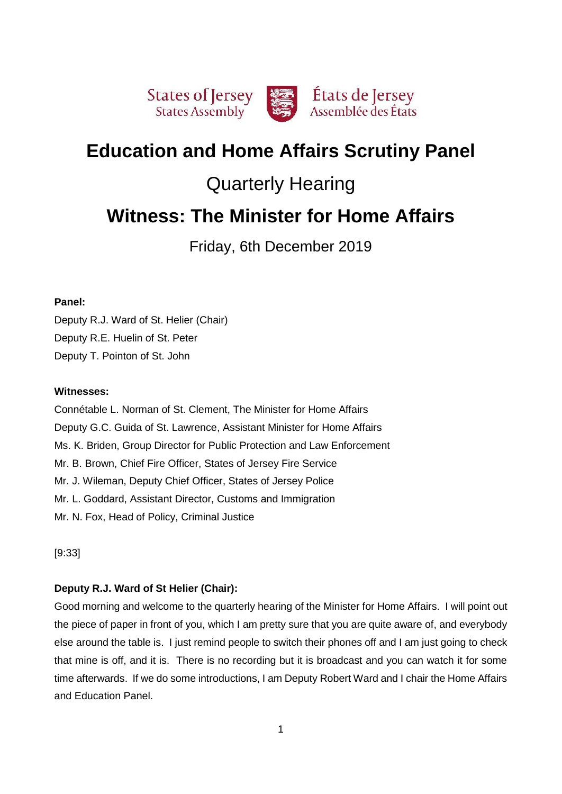

# **Education and Home Affairs Scrutiny Panel**

## Quarterly Hearing

# **Witness: The Minister for Home Affairs**

Friday, 6th December 2019

## **Panel:**

Deputy R.J. Ward of St. Helier (Chair) Deputy R.E. Huelin of St. Peter Deputy T. Pointon of St. John

## **Witnesses:**

Connétable L. Norman of St. Clement, The Minister for Home Affairs Deputy G.C. Guida of St. Lawrence, Assistant Minister for Home Affairs Ms. K. Briden, Group Director for Public Protection and Law Enforcement Mr. B. Brown, Chief Fire Officer, States of Jersey Fire Service Mr. J. Wileman, Deputy Chief Officer, States of Jersey Police Mr. L. Goddard, Assistant Director, Customs and Immigration Mr. N. Fox, Head of Policy, Criminal Justice

[9:33]

## **Deputy R.J. Ward of St Helier (Chair):**

Good morning and welcome to the quarterly hearing of the Minister for Home Affairs. I will point out the piece of paper in front of you, which I am pretty sure that you are quite aware of, and everybody else around the table is. I just remind people to switch their phones off and I am just going to check that mine is off, and it is. There is no recording but it is broadcast and you can watch it for some time afterwards. If we do some introductions, I am Deputy Robert Ward and I chair the Home Affairs and Education Panel.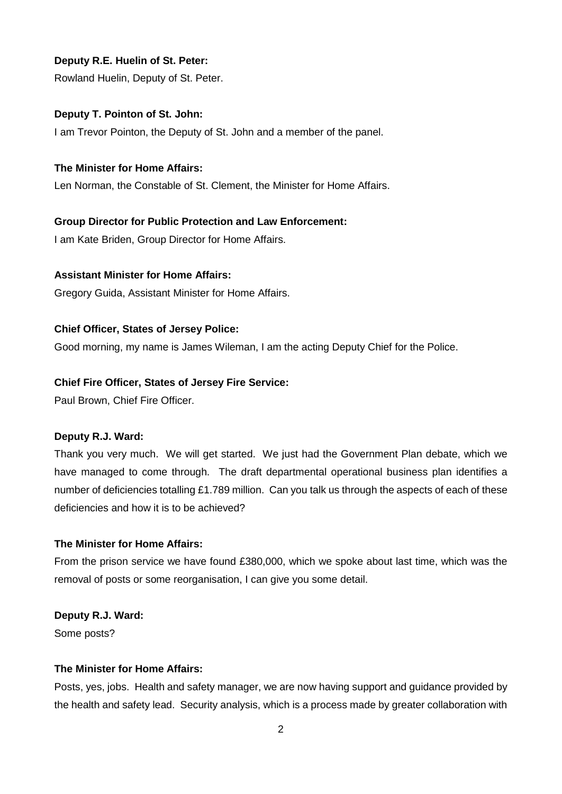## **Deputy R.E. Huelin of St. Peter:**

Rowland Huelin, Deputy of St. Peter.

#### **Deputy T. Pointon of St. John:**

I am Trevor Pointon, the Deputy of St. John and a member of the panel.

#### **The Minister for Home Affairs:**

Len Norman, the Constable of St. Clement, the Minister for Home Affairs.

## **Group Director for Public Protection and Law Enforcement:**

I am Kate Briden, Group Director for Home Affairs.

#### **Assistant Minister for Home Affairs:**

Gregory Guida, Assistant Minister for Home Affairs.

#### **Chief Officer, States of Jersey Police:**

Good morning, my name is James Wileman, I am the acting Deputy Chief for the Police.

#### **Chief Fire Officer, States of Jersey Fire Service:**

Paul Brown, Chief Fire Officer.

#### **Deputy R.J. Ward:**

Thank you very much. We will get started. We just had the Government Plan debate, which we have managed to come through. The draft departmental operational business plan identifies a number of deficiencies totalling £1.789 million. Can you talk us through the aspects of each of these deficiencies and how it is to be achieved?

#### **The Minister for Home Affairs:**

From the prison service we have found £380,000, which we spoke about last time, which was the removal of posts or some reorganisation, I can give you some detail.

## **Deputy R.J. Ward:**

Some posts?

## **The Minister for Home Affairs:**

Posts, yes, jobs. Health and safety manager, we are now having support and guidance provided by the health and safety lead. Security analysis, which is a process made by greater collaboration with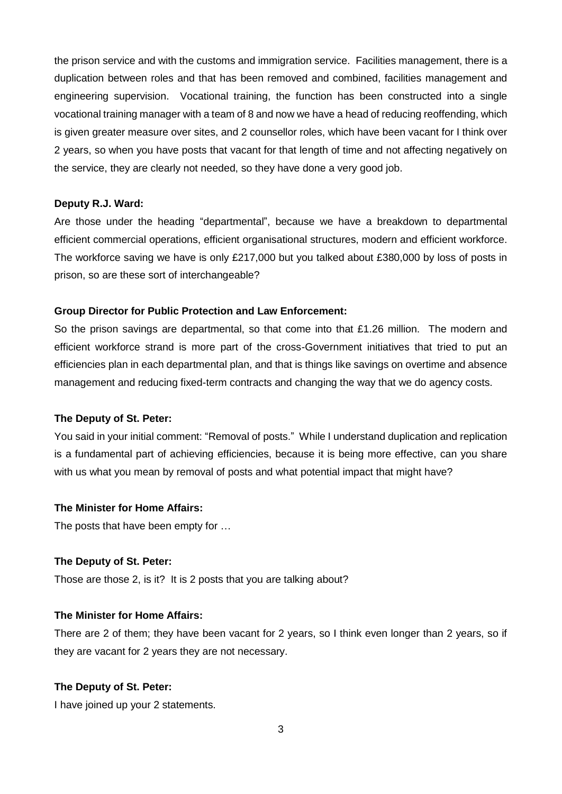the prison service and with the customs and immigration service. Facilities management, there is a duplication between roles and that has been removed and combined, facilities management and engineering supervision. Vocational training, the function has been constructed into a single vocational training manager with a team of 8 and now we have a head of reducing reoffending, which is given greater measure over sites, and 2 counsellor roles, which have been vacant for I think over 2 years, so when you have posts that vacant for that length of time and not affecting negatively on the service, they are clearly not needed, so they have done a very good job.

#### **Deputy R.J. Ward:**

Are those under the heading "departmental", because we have a breakdown to departmental efficient commercial operations, efficient organisational structures, modern and efficient workforce. The workforce saving we have is only £217,000 but you talked about £380,000 by loss of posts in prison, so are these sort of interchangeable?

## **Group Director for Public Protection and Law Enforcement:**

So the prison savings are departmental, so that come into that £1.26 million. The modern and efficient workforce strand is more part of the cross-Government initiatives that tried to put an efficiencies plan in each departmental plan, and that is things like savings on overtime and absence management and reducing fixed-term contracts and changing the way that we do agency costs.

#### **The Deputy of St. Peter:**

You said in your initial comment: "Removal of posts." While I understand duplication and replication is a fundamental part of achieving efficiencies, because it is being more effective, can you share with us what you mean by removal of posts and what potential impact that might have?

#### **The Minister for Home Affairs:**

The posts that have been empty for …

#### **The Deputy of St. Peter:**

Those are those 2, is it? It is 2 posts that you are talking about?

## **The Minister for Home Affairs:**

There are 2 of them; they have been vacant for 2 years, so I think even longer than 2 years, so if they are vacant for 2 years they are not necessary.

#### **The Deputy of St. Peter:**

I have joined up your 2 statements.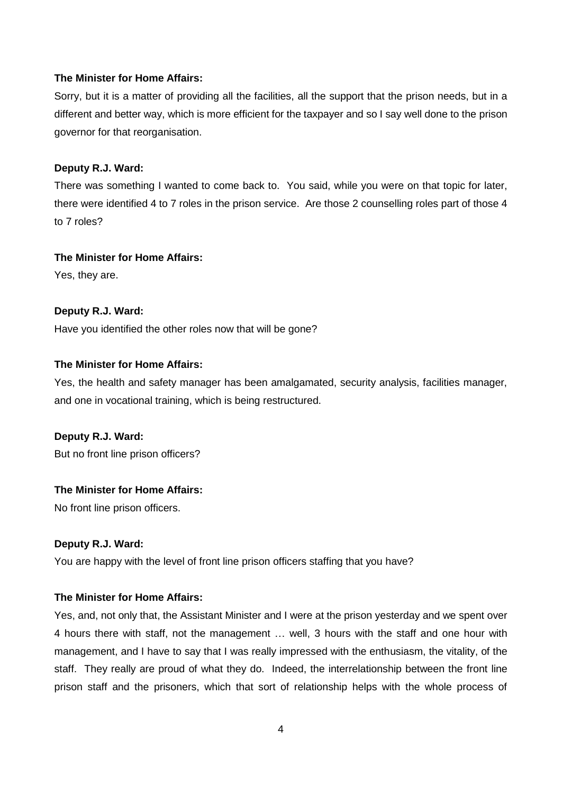## **The Minister for Home Affairs:**

Sorry, but it is a matter of providing all the facilities, all the support that the prison needs, but in a different and better way, which is more efficient for the taxpayer and so I say well done to the prison governor for that reorganisation.

#### **Deputy R.J. Ward:**

There was something I wanted to come back to. You said, while you were on that topic for later, there were identified 4 to 7 roles in the prison service. Are those 2 counselling roles part of those 4 to 7 roles?

#### **The Minister for Home Affairs:**

Yes, they are.

#### **Deputy R.J. Ward:**

Have you identified the other roles now that will be gone?

#### **The Minister for Home Affairs:**

Yes, the health and safety manager has been amalgamated, security analysis, facilities manager, and one in vocational training, which is being restructured.

#### **Deputy R.J. Ward:**

But no front line prison officers?

## **The Minister for Home Affairs:**

No front line prison officers.

#### **Deputy R.J. Ward:**

You are happy with the level of front line prison officers staffing that you have?

## **The Minister for Home Affairs:**

Yes, and, not only that, the Assistant Minister and I were at the prison yesterday and we spent over 4 hours there with staff, not the management … well, 3 hours with the staff and one hour with management, and I have to say that I was really impressed with the enthusiasm, the vitality, of the staff. They really are proud of what they do. Indeed, the interrelationship between the front line prison staff and the prisoners, which that sort of relationship helps with the whole process of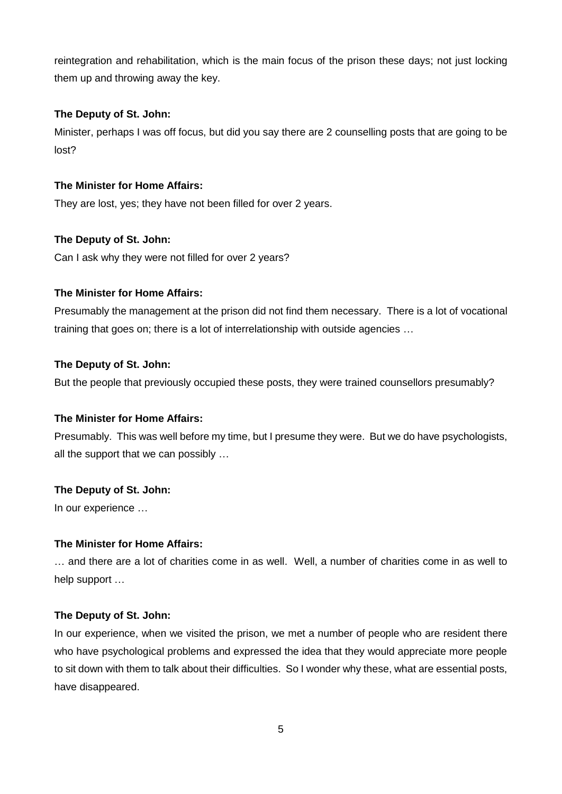reintegration and rehabilitation, which is the main focus of the prison these days; not just locking them up and throwing away the key.

## **The Deputy of St. John:**

Minister, perhaps I was off focus, but did you say there are 2 counselling posts that are going to be lost?

## **The Minister for Home Affairs:**

They are lost, yes; they have not been filled for over 2 years.

## **The Deputy of St. John:**

Can I ask why they were not filled for over 2 years?

## **The Minister for Home Affairs:**

Presumably the management at the prison did not find them necessary. There is a lot of vocational training that goes on; there is a lot of interrelationship with outside agencies …

## **The Deputy of St. John:**

But the people that previously occupied these posts, they were trained counsellors presumably?

#### **The Minister for Home Affairs:**

Presumably. This was well before my time, but I presume they were. But we do have psychologists, all the support that we can possibly …

## **The Deputy of St. John:**

In our experience …

## **The Minister for Home Affairs:**

… and there are a lot of charities come in as well. Well, a number of charities come in as well to help support …

## **The Deputy of St. John:**

In our experience, when we visited the prison, we met a number of people who are resident there who have psychological problems and expressed the idea that they would appreciate more people to sit down with them to talk about their difficulties. So I wonder why these, what are essential posts, have disappeared.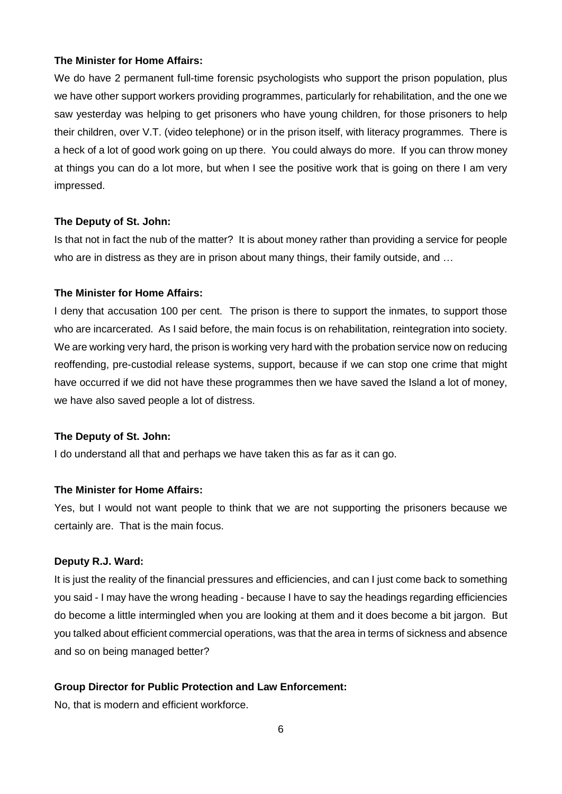#### **The Minister for Home Affairs:**

We do have 2 permanent full-time forensic psychologists who support the prison population, plus we have other support workers providing programmes, particularly for rehabilitation, and the one we saw yesterday was helping to get prisoners who have young children, for those prisoners to help their children, over V.T. (video telephone) or in the prison itself, with literacy programmes. There is a heck of a lot of good work going on up there. You could always do more. If you can throw money at things you can do a lot more, but when I see the positive work that is going on there I am very impressed.

## **The Deputy of St. John:**

Is that not in fact the nub of the matter? It is about money rather than providing a service for people who are in distress as they are in prison about many things, their family outside, and …

#### **The Minister for Home Affairs:**

I deny that accusation 100 per cent. The prison is there to support the inmates, to support those who are incarcerated. As I said before, the main focus is on rehabilitation, reintegration into society. We are working very hard, the prison is working very hard with the probation service now on reducing reoffending, pre-custodial release systems, support, because if we can stop one crime that might have occurred if we did not have these programmes then we have saved the Island a lot of money, we have also saved people a lot of distress.

#### **The Deputy of St. John:**

I do understand all that and perhaps we have taken this as far as it can go.

#### **The Minister for Home Affairs:**

Yes, but I would not want people to think that we are not supporting the prisoners because we certainly are. That is the main focus.

#### **Deputy R.J. Ward:**

It is just the reality of the financial pressures and efficiencies, and can I just come back to something you said - I may have the wrong heading - because I have to say the headings regarding efficiencies do become a little intermingled when you are looking at them and it does become a bit jargon. But you talked about efficient commercial operations, was that the area in terms of sickness and absence and so on being managed better?

#### **Group Director for Public Protection and Law Enforcement:**

No, that is modern and efficient workforce.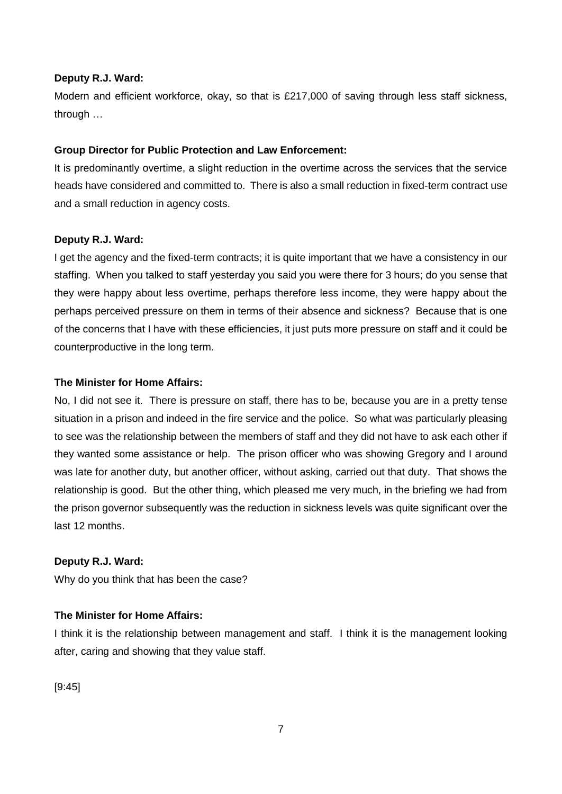#### **Deputy R.J. Ward:**

Modern and efficient workforce, okay, so that is £217,000 of saving through less staff sickness, through …

#### **Group Director for Public Protection and Law Enforcement:**

It is predominantly overtime, a slight reduction in the overtime across the services that the service heads have considered and committed to. There is also a small reduction in fixed-term contract use and a small reduction in agency costs.

#### **Deputy R.J. Ward:**

I get the agency and the fixed-term contracts; it is quite important that we have a consistency in our staffing. When you talked to staff yesterday you said you were there for 3 hours; do you sense that they were happy about less overtime, perhaps therefore less income, they were happy about the perhaps perceived pressure on them in terms of their absence and sickness? Because that is one of the concerns that I have with these efficiencies, it just puts more pressure on staff and it could be counterproductive in the long term.

#### **The Minister for Home Affairs:**

No, I did not see it. There is pressure on staff, there has to be, because you are in a pretty tense situation in a prison and indeed in the fire service and the police. So what was particularly pleasing to see was the relationship between the members of staff and they did not have to ask each other if they wanted some assistance or help. The prison officer who was showing Gregory and I around was late for another duty, but another officer, without asking, carried out that duty. That shows the relationship is good. But the other thing, which pleased me very much, in the briefing we had from the prison governor subsequently was the reduction in sickness levels was quite significant over the last 12 months.

#### **Deputy R.J. Ward:**

Why do you think that has been the case?

## **The Minister for Home Affairs:**

I think it is the relationship between management and staff. I think it is the management looking after, caring and showing that they value staff.

[9:45]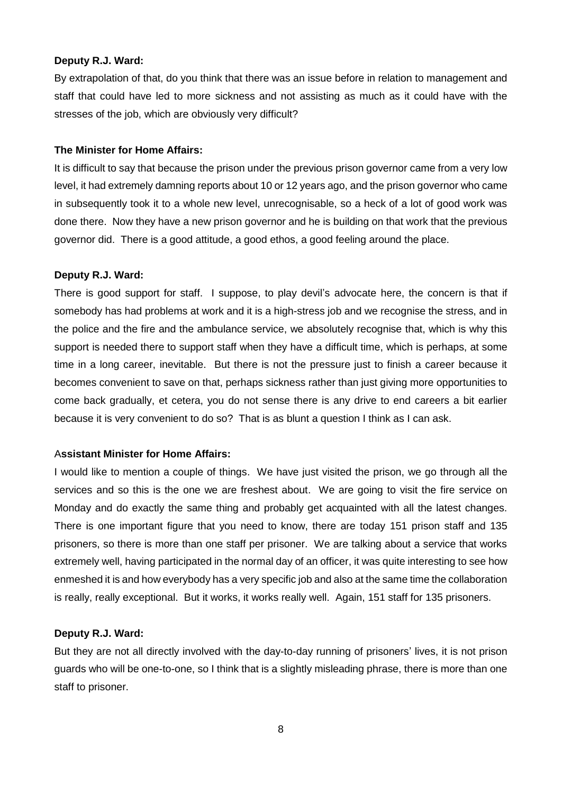#### **Deputy R.J. Ward:**

By extrapolation of that, do you think that there was an issue before in relation to management and staff that could have led to more sickness and not assisting as much as it could have with the stresses of the job, which are obviously very difficult?

#### **The Minister for Home Affairs:**

It is difficult to say that because the prison under the previous prison governor came from a very low level, it had extremely damning reports about 10 or 12 years ago, and the prison governor who came in subsequently took it to a whole new level, unrecognisable, so a heck of a lot of good work was done there. Now they have a new prison governor and he is building on that work that the previous governor did. There is a good attitude, a good ethos, a good feeling around the place.

#### **Deputy R.J. Ward:**

There is good support for staff. I suppose, to play devil's advocate here, the concern is that if somebody has had problems at work and it is a high-stress job and we recognise the stress, and in the police and the fire and the ambulance service, we absolutely recognise that, which is why this support is needed there to support staff when they have a difficult time, which is perhaps, at some time in a long career, inevitable. But there is not the pressure just to finish a career because it becomes convenient to save on that, perhaps sickness rather than just giving more opportunities to come back gradually, et cetera, you do not sense there is any drive to end careers a bit earlier because it is very convenient to do so? That is as blunt a question I think as I can ask.

#### A**ssistant Minister for Home Affairs:**

I would like to mention a couple of things. We have just visited the prison, we go through all the services and so this is the one we are freshest about. We are going to visit the fire service on Monday and do exactly the same thing and probably get acquainted with all the latest changes. There is one important figure that you need to know, there are today 151 prison staff and 135 prisoners, so there is more than one staff per prisoner. We are talking about a service that works extremely well, having participated in the normal day of an officer, it was quite interesting to see how enmeshed it is and how everybody has a very specific job and also at the same time the collaboration is really, really exceptional. But it works, it works really well. Again, 151 staff for 135 prisoners.

#### **Deputy R.J. Ward:**

But they are not all directly involved with the day-to-day running of prisoners' lives, it is not prison guards who will be one-to-one, so I think that is a slightly misleading phrase, there is more than one staff to prisoner.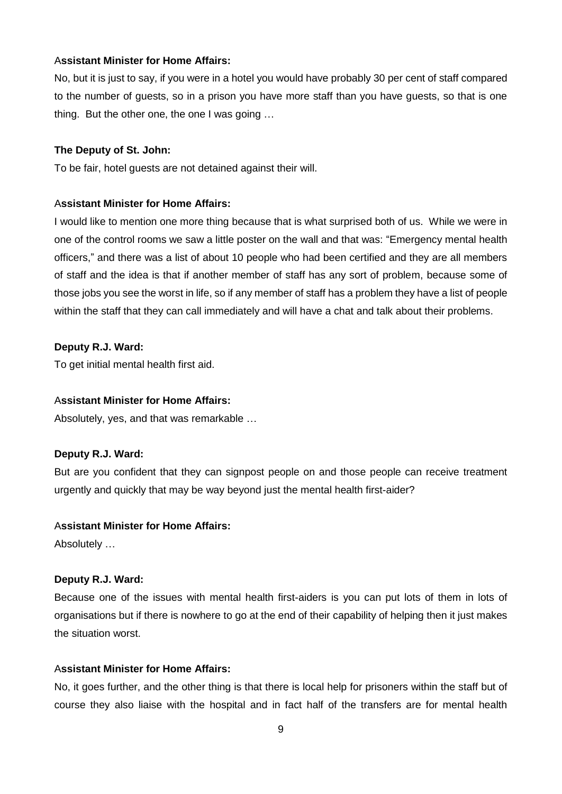#### A**ssistant Minister for Home Affairs:**

No, but it is just to say, if you were in a hotel you would have probably 30 per cent of staff compared to the number of guests, so in a prison you have more staff than you have guests, so that is one thing. But the other one, the one I was going …

#### **The Deputy of St. John:**

To be fair, hotel guests are not detained against their will.

## A**ssistant Minister for Home Affairs:**

I would like to mention one more thing because that is what surprised both of us. While we were in one of the control rooms we saw a little poster on the wall and that was: "Emergency mental health officers," and there was a list of about 10 people who had been certified and they are all members of staff and the idea is that if another member of staff has any sort of problem, because some of those jobs you see the worst in life, so if any member of staff has a problem they have a list of people within the staff that they can call immediately and will have a chat and talk about their problems.

#### **Deputy R.J. Ward:**

To get initial mental health first aid.

#### A**ssistant Minister for Home Affairs:**

Absolutely, yes, and that was remarkable …

#### **Deputy R.J. Ward:**

But are you confident that they can signpost people on and those people can receive treatment urgently and quickly that may be way beyond just the mental health first-aider?

#### A**ssistant Minister for Home Affairs:**

Absolutely …

#### **Deputy R.J. Ward:**

Because one of the issues with mental health first-aiders is you can put lots of them in lots of organisations but if there is nowhere to go at the end of their capability of helping then it just makes the situation worst.

## A**ssistant Minister for Home Affairs:**

No, it goes further, and the other thing is that there is local help for prisoners within the staff but of course they also liaise with the hospital and in fact half of the transfers are for mental health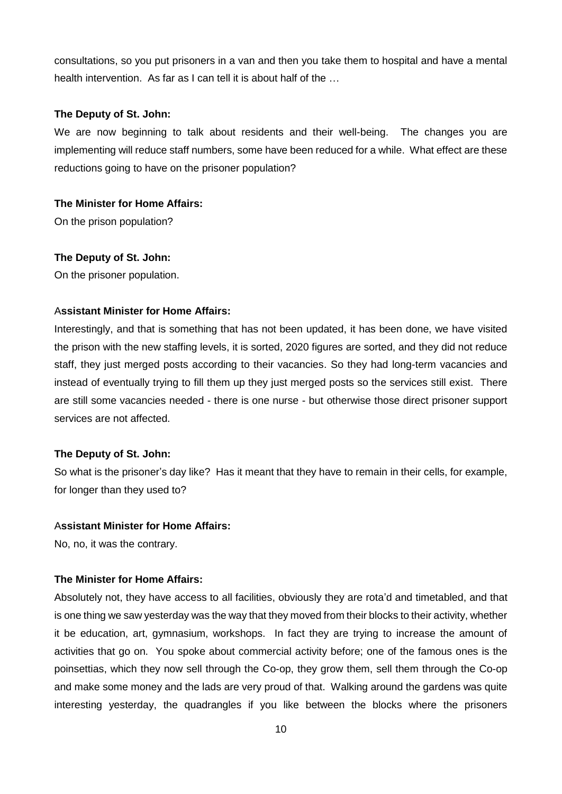consultations, so you put prisoners in a van and then you take them to hospital and have a mental health intervention. As far as I can tell it is about half of the ...

#### **The Deputy of St. John:**

We are now beginning to talk about residents and their well-being. The changes you are implementing will reduce staff numbers, some have been reduced for a while. What effect are these reductions going to have on the prisoner population?

## **The Minister for Home Affairs:**

On the prison population?

#### **The Deputy of St. John:**

On the prisoner population.

#### A**ssistant Minister for Home Affairs:**

Interestingly, and that is something that has not been updated, it has been done, we have visited the prison with the new staffing levels, it is sorted, 2020 figures are sorted, and they did not reduce staff, they just merged posts according to their vacancies. So they had long-term vacancies and instead of eventually trying to fill them up they just merged posts so the services still exist. There are still some vacancies needed - there is one nurse - but otherwise those direct prisoner support services are not affected.

#### **The Deputy of St. John:**

So what is the prisoner's day like? Has it meant that they have to remain in their cells, for example, for longer than they used to?

#### A**ssistant Minister for Home Affairs:**

No, no, it was the contrary.

#### **The Minister for Home Affairs:**

Absolutely not, they have access to all facilities, obviously they are rota'd and timetabled, and that is one thing we saw yesterday was the way that they moved from their blocks to their activity, whether it be education, art, gymnasium, workshops. In fact they are trying to increase the amount of activities that go on. You spoke about commercial activity before; one of the famous ones is the poinsettias, which they now sell through the Co-op, they grow them, sell them through the Co-op and make some money and the lads are very proud of that. Walking around the gardens was quite interesting yesterday, the quadrangles if you like between the blocks where the prisoners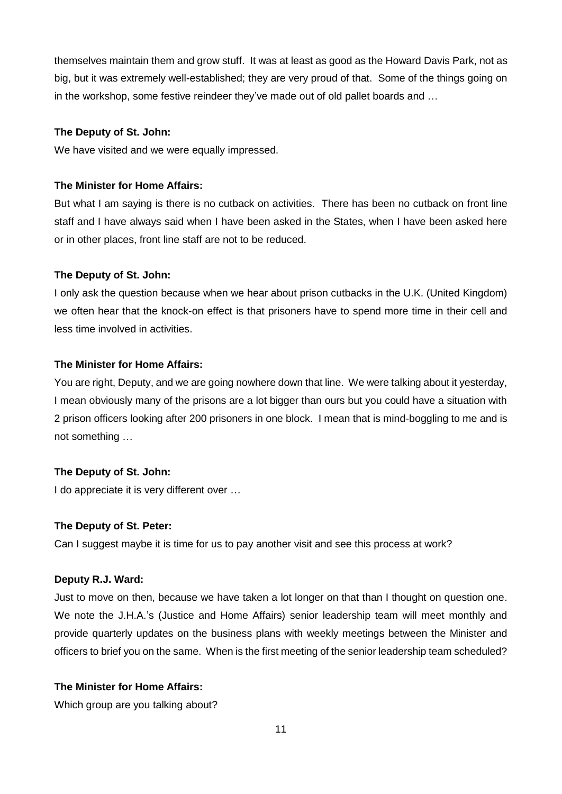themselves maintain them and grow stuff. It was at least as good as the Howard Davis Park, not as big, but it was extremely well-established; they are very proud of that. Some of the things going on in the workshop, some festive reindeer they've made out of old pallet boards and …

#### **The Deputy of St. John:**

We have visited and we were equally impressed.

#### **The Minister for Home Affairs:**

But what I am saying is there is no cutback on activities. There has been no cutback on front line staff and I have always said when I have been asked in the States, when I have been asked here or in other places, front line staff are not to be reduced.

#### **The Deputy of St. John:**

I only ask the question because when we hear about prison cutbacks in the U.K. (United Kingdom) we often hear that the knock-on effect is that prisoners have to spend more time in their cell and less time involved in activities.

#### **The Minister for Home Affairs:**

You are right, Deputy, and we are going nowhere down that line. We were talking about it yesterday, I mean obviously many of the prisons are a lot bigger than ours but you could have a situation with 2 prison officers looking after 200 prisoners in one block. I mean that is mind-boggling to me and is not something …

#### **The Deputy of St. John:**

I do appreciate it is very different over …

#### **The Deputy of St. Peter:**

Can I suggest maybe it is time for us to pay another visit and see this process at work?

#### **Deputy R.J. Ward:**

Just to move on then, because we have taken a lot longer on that than I thought on question one. We note the J.H.A.'s (Justice and Home Affairs) senior leadership team will meet monthly and provide quarterly updates on the business plans with weekly meetings between the Minister and officers to brief you on the same. When is the first meeting of the senior leadership team scheduled?

## **The Minister for Home Affairs:**

Which group are you talking about?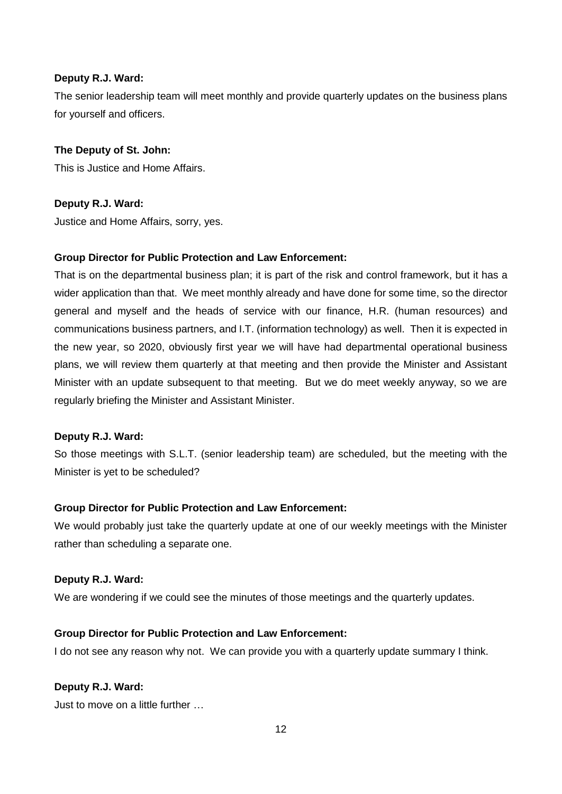#### **Deputy R.J. Ward:**

The senior leadership team will meet monthly and provide quarterly updates on the business plans for yourself and officers.

#### **The Deputy of St. John:**

This is Justice and Home Affairs.

## **Deputy R.J. Ward:**

Justice and Home Affairs, sorry, yes.

#### **Group Director for Public Protection and Law Enforcement:**

That is on the departmental business plan; it is part of the risk and control framework, but it has a wider application than that. We meet monthly already and have done for some time, so the director general and myself and the heads of service with our finance, H.R. (human resources) and communications business partners, and I.T. (information technology) as well. Then it is expected in the new year, so 2020, obviously first year we will have had departmental operational business plans, we will review them quarterly at that meeting and then provide the Minister and Assistant Minister with an update subsequent to that meeting. But we do meet weekly anyway, so we are regularly briefing the Minister and Assistant Minister.

#### **Deputy R.J. Ward:**

So those meetings with S.L.T. (senior leadership team) are scheduled, but the meeting with the Minister is yet to be scheduled?

#### **Group Director for Public Protection and Law Enforcement:**

We would probably just take the quarterly update at one of our weekly meetings with the Minister rather than scheduling a separate one.

#### **Deputy R.J. Ward:**

We are wondering if we could see the minutes of those meetings and the quarterly updates.

#### **Group Director for Public Protection and Law Enforcement:**

I do not see any reason why not. We can provide you with a quarterly update summary I think.

#### **Deputy R.J. Ward:**

Just to move on a little further …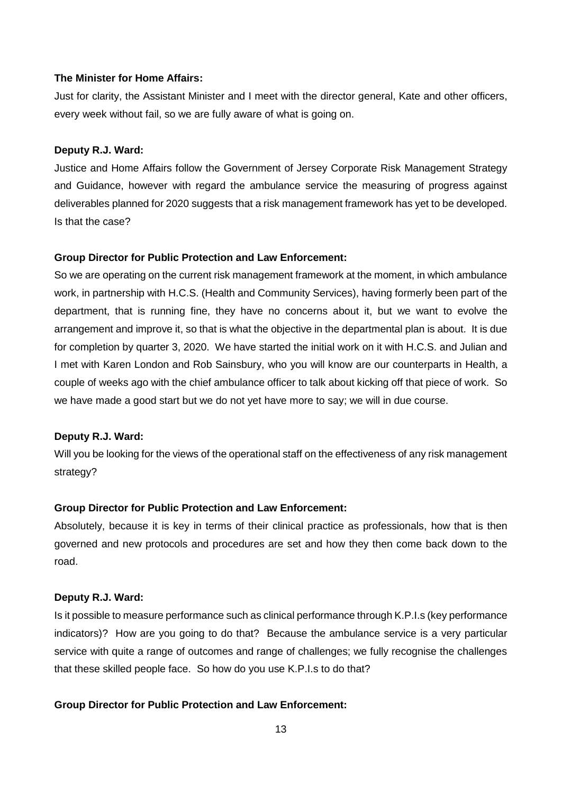#### **The Minister for Home Affairs:**

Just for clarity, the Assistant Minister and I meet with the director general, Kate and other officers, every week without fail, so we are fully aware of what is going on.

## **Deputy R.J. Ward:**

Justice and Home Affairs follow the Government of Jersey Corporate Risk Management Strategy and Guidance, however with regard the ambulance service the measuring of progress against deliverables planned for 2020 suggests that a risk management framework has yet to be developed. Is that the case?

#### **Group Director for Public Protection and Law Enforcement:**

So we are operating on the current risk management framework at the moment, in which ambulance work, in partnership with H.C.S. (Health and Community Services), having formerly been part of the department, that is running fine, they have no concerns about it, but we want to evolve the arrangement and improve it, so that is what the objective in the departmental plan is about. It is due for completion by quarter 3, 2020. We have started the initial work on it with H.C.S. and Julian and I met with Karen London and Rob Sainsbury, who you will know are our counterparts in Health, a couple of weeks ago with the chief ambulance officer to talk about kicking off that piece of work. So we have made a good start but we do not yet have more to say; we will in due course.

#### **Deputy R.J. Ward:**

Will you be looking for the views of the operational staff on the effectiveness of any risk management strategy?

#### **Group Director for Public Protection and Law Enforcement:**

Absolutely, because it is key in terms of their clinical practice as professionals, how that is then governed and new protocols and procedures are set and how they then come back down to the road.

#### **Deputy R.J. Ward:**

Is it possible to measure performance such as clinical performance through K.P.I.s (key performance indicators)? How are you going to do that? Because the ambulance service is a very particular service with quite a range of outcomes and range of challenges; we fully recognise the challenges that these skilled people face. So how do you use K.P.I.s to do that?

## **Group Director for Public Protection and Law Enforcement:**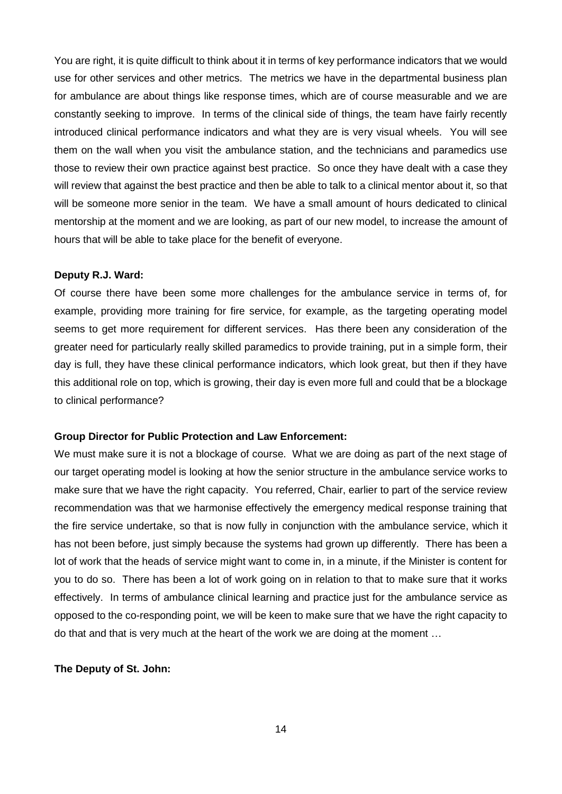You are right, it is quite difficult to think about it in terms of key performance indicators that we would use for other services and other metrics. The metrics we have in the departmental business plan for ambulance are about things like response times, which are of course measurable and we are constantly seeking to improve. In terms of the clinical side of things, the team have fairly recently introduced clinical performance indicators and what they are is very visual wheels. You will see them on the wall when you visit the ambulance station, and the technicians and paramedics use those to review their own practice against best practice. So once they have dealt with a case they will review that against the best practice and then be able to talk to a clinical mentor about it, so that will be someone more senior in the team. We have a small amount of hours dedicated to clinical mentorship at the moment and we are looking, as part of our new model, to increase the amount of hours that will be able to take place for the benefit of everyone.

#### **Deputy R.J. Ward:**

Of course there have been some more challenges for the ambulance service in terms of, for example, providing more training for fire service, for example, as the targeting operating model seems to get more requirement for different services. Has there been any consideration of the greater need for particularly really skilled paramedics to provide training, put in a simple form, their day is full, they have these clinical performance indicators, which look great, but then if they have this additional role on top, which is growing, their day is even more full and could that be a blockage to clinical performance?

#### **Group Director for Public Protection and Law Enforcement:**

We must make sure it is not a blockage of course. What we are doing as part of the next stage of our target operating model is looking at how the senior structure in the ambulance service works to make sure that we have the right capacity. You referred, Chair, earlier to part of the service review recommendation was that we harmonise effectively the emergency medical response training that the fire service undertake, so that is now fully in conjunction with the ambulance service, which it has not been before, just simply because the systems had grown up differently. There has been a lot of work that the heads of service might want to come in, in a minute, if the Minister is content for you to do so. There has been a lot of work going on in relation to that to make sure that it works effectively. In terms of ambulance clinical learning and practice just for the ambulance service as opposed to the co-responding point, we will be keen to make sure that we have the right capacity to do that and that is very much at the heart of the work we are doing at the moment …

#### **The Deputy of St. John:**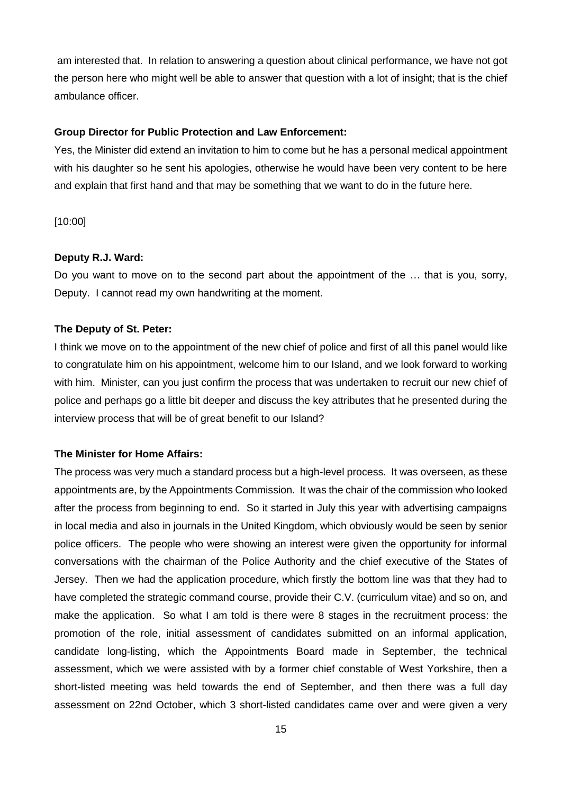am interested that. In relation to answering a question about clinical performance, we have not got the person here who might well be able to answer that question with a lot of insight; that is the chief ambulance officer.

## **Group Director for Public Protection and Law Enforcement:**

Yes, the Minister did extend an invitation to him to come but he has a personal medical appointment with his daughter so he sent his apologies, otherwise he would have been very content to be here and explain that first hand and that may be something that we want to do in the future here.

[10:00]

## **Deputy R.J. Ward:**

Do you want to move on to the second part about the appointment of the … that is you, sorry, Deputy. I cannot read my own handwriting at the moment.

#### **The Deputy of St. Peter:**

I think we move on to the appointment of the new chief of police and first of all this panel would like to congratulate him on his appointment, welcome him to our Island, and we look forward to working with him. Minister, can you just confirm the process that was undertaken to recruit our new chief of police and perhaps go a little bit deeper and discuss the key attributes that he presented during the interview process that will be of great benefit to our Island?

## **The Minister for Home Affairs:**

The process was very much a standard process but a high-level process. It was overseen, as these appointments are, by the Appointments Commission. It was the chair of the commission who looked after the process from beginning to end. So it started in July this year with advertising campaigns in local media and also in journals in the United Kingdom, which obviously would be seen by senior police officers. The people who were showing an interest were given the opportunity for informal conversations with the chairman of the Police Authority and the chief executive of the States of Jersey. Then we had the application procedure, which firstly the bottom line was that they had to have completed the strategic command course, provide their C.V. (curriculum vitae) and so on, and make the application. So what I am told is there were 8 stages in the recruitment process: the promotion of the role, initial assessment of candidates submitted on an informal application, candidate long-listing, which the Appointments Board made in September, the technical assessment, which we were assisted with by a former chief constable of West Yorkshire, then a short-listed meeting was held towards the end of September, and then there was a full day assessment on 22nd October, which 3 short-listed candidates came over and were given a very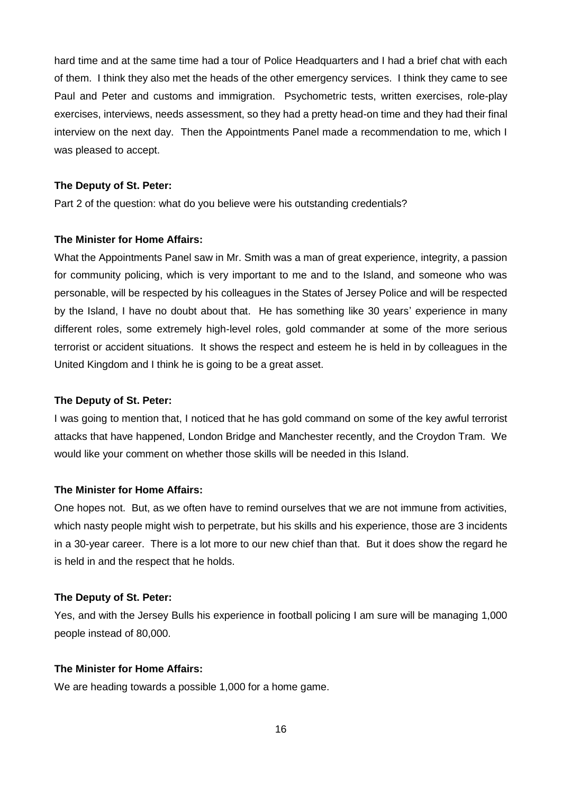hard time and at the same time had a tour of Police Headquarters and I had a brief chat with each of them. I think they also met the heads of the other emergency services. I think they came to see Paul and Peter and customs and immigration. Psychometric tests, written exercises, role-play exercises, interviews, needs assessment, so they had a pretty head-on time and they had their final interview on the next day. Then the Appointments Panel made a recommendation to me, which I was pleased to accept.

#### **The Deputy of St. Peter:**

Part 2 of the question: what do you believe were his outstanding credentials?

#### **The Minister for Home Affairs:**

What the Appointments Panel saw in Mr. Smith was a man of great experience, integrity, a passion for community policing, which is very important to me and to the Island, and someone who was personable, will be respected by his colleagues in the States of Jersey Police and will be respected by the Island, I have no doubt about that. He has something like 30 years' experience in many different roles, some extremely high-level roles, gold commander at some of the more serious terrorist or accident situations. It shows the respect and esteem he is held in by colleagues in the United Kingdom and I think he is going to be a great asset.

#### **The Deputy of St. Peter:**

I was going to mention that, I noticed that he has gold command on some of the key awful terrorist attacks that have happened, London Bridge and Manchester recently, and the Croydon Tram. We would like your comment on whether those skills will be needed in this Island.

#### **The Minister for Home Affairs:**

One hopes not. But, as we often have to remind ourselves that we are not immune from activities, which nasty people might wish to perpetrate, but his skills and his experience, those are 3 incidents in a 30-year career. There is a lot more to our new chief than that. But it does show the regard he is held in and the respect that he holds.

#### **The Deputy of St. Peter:**

Yes, and with the Jersey Bulls his experience in football policing I am sure will be managing 1,000 people instead of 80,000.

## **The Minister for Home Affairs:**

We are heading towards a possible 1,000 for a home game.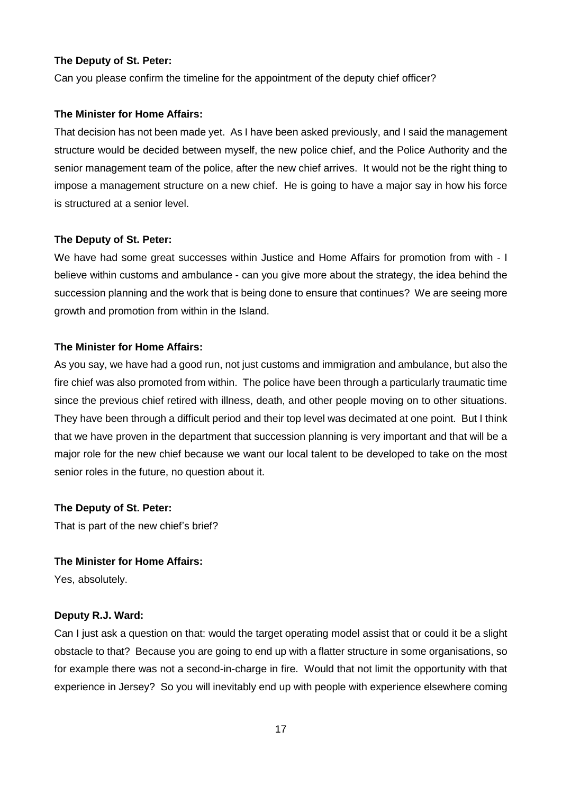## **The Deputy of St. Peter:**

Can you please confirm the timeline for the appointment of the deputy chief officer?

#### **The Minister for Home Affairs:**

That decision has not been made yet. As I have been asked previously, and I said the management structure would be decided between myself, the new police chief, and the Police Authority and the senior management team of the police, after the new chief arrives. It would not be the right thing to impose a management structure on a new chief. He is going to have a major say in how his force is structured at a senior level.

#### **The Deputy of St. Peter:**

We have had some great successes within Justice and Home Affairs for promotion from with - I believe within customs and ambulance - can you give more about the strategy, the idea behind the succession planning and the work that is being done to ensure that continues? We are seeing more growth and promotion from within in the Island.

#### **The Minister for Home Affairs:**

As you say, we have had a good run, not just customs and immigration and ambulance, but also the fire chief was also promoted from within. The police have been through a particularly traumatic time since the previous chief retired with illness, death, and other people moving on to other situations. They have been through a difficult period and their top level was decimated at one point. But I think that we have proven in the department that succession planning is very important and that will be a major role for the new chief because we want our local talent to be developed to take on the most senior roles in the future, no question about it.

#### **The Deputy of St. Peter:**

That is part of the new chief's brief?

## **The Minister for Home Affairs:**

Yes, absolutely.

## **Deputy R.J. Ward:**

Can I just ask a question on that: would the target operating model assist that or could it be a slight obstacle to that? Because you are going to end up with a flatter structure in some organisations, so for example there was not a second-in-charge in fire. Would that not limit the opportunity with that experience in Jersey? So you will inevitably end up with people with experience elsewhere coming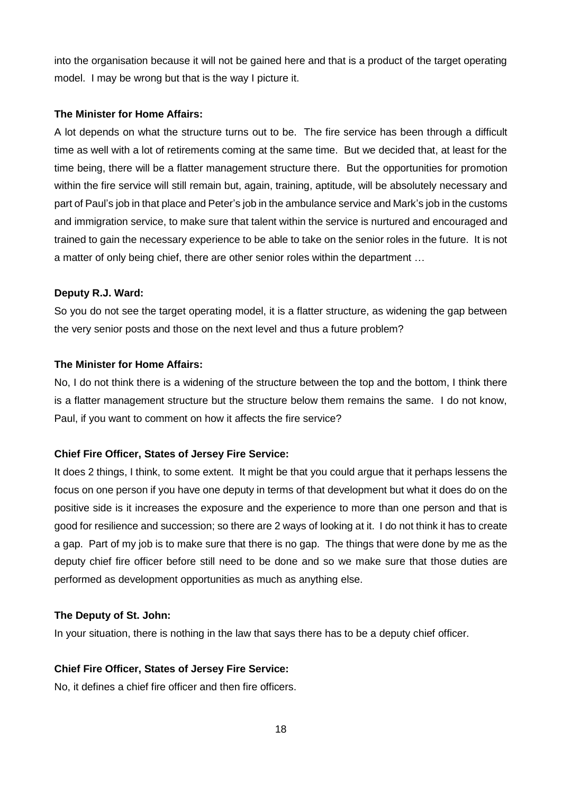into the organisation because it will not be gained here and that is a product of the target operating model. I may be wrong but that is the way I picture it.

#### **The Minister for Home Affairs:**

A lot depends on what the structure turns out to be. The fire service has been through a difficult time as well with a lot of retirements coming at the same time. But we decided that, at least for the time being, there will be a flatter management structure there. But the opportunities for promotion within the fire service will still remain but, again, training, aptitude, will be absolutely necessary and part of Paul's job in that place and Peter's job in the ambulance service and Mark's job in the customs and immigration service, to make sure that talent within the service is nurtured and encouraged and trained to gain the necessary experience to be able to take on the senior roles in the future. It is not a matter of only being chief, there are other senior roles within the department …

## **Deputy R.J. Ward:**

So you do not see the target operating model, it is a flatter structure, as widening the gap between the very senior posts and those on the next level and thus a future problem?

#### **The Minister for Home Affairs:**

No, I do not think there is a widening of the structure between the top and the bottom, I think there is a flatter management structure but the structure below them remains the same. I do not know, Paul, if you want to comment on how it affects the fire service?

## **Chief Fire Officer, States of Jersey Fire Service:**

It does 2 things, I think, to some extent. It might be that you could argue that it perhaps lessens the focus on one person if you have one deputy in terms of that development but what it does do on the positive side is it increases the exposure and the experience to more than one person and that is good for resilience and succession; so there are 2 ways of looking at it. I do not think it has to create a gap. Part of my job is to make sure that there is no gap. The things that were done by me as the deputy chief fire officer before still need to be done and so we make sure that those duties are performed as development opportunities as much as anything else.

#### **The Deputy of St. John:**

In your situation, there is nothing in the law that says there has to be a deputy chief officer.

#### **Chief Fire Officer, States of Jersey Fire Service:**

No, it defines a chief fire officer and then fire officers.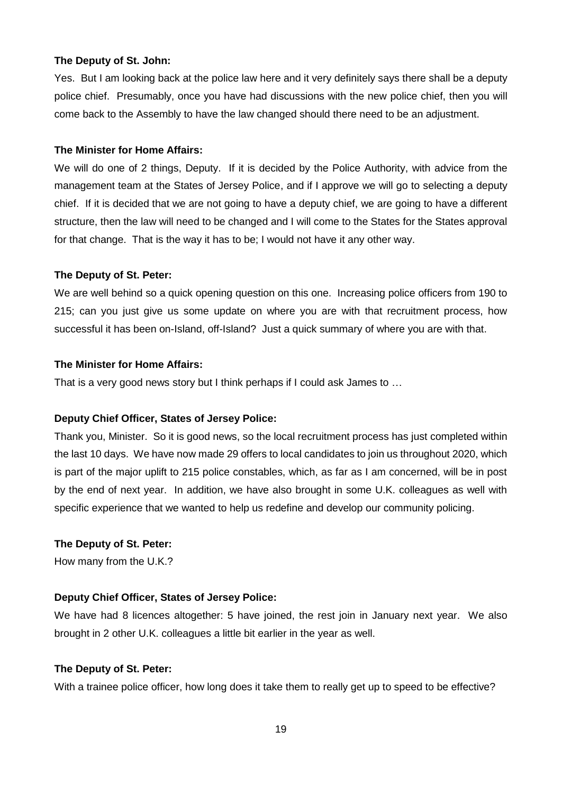#### **The Deputy of St. John:**

Yes. But I am looking back at the police law here and it very definitely says there shall be a deputy police chief. Presumably, once you have had discussions with the new police chief, then you will come back to the Assembly to have the law changed should there need to be an adjustment.

#### **The Minister for Home Affairs:**

We will do one of 2 things, Deputy. If it is decided by the Police Authority, with advice from the management team at the States of Jersey Police, and if I approve we will go to selecting a deputy chief. If it is decided that we are not going to have a deputy chief, we are going to have a different structure, then the law will need to be changed and I will come to the States for the States approval for that change. That is the way it has to be; I would not have it any other way.

#### **The Deputy of St. Peter:**

We are well behind so a quick opening question on this one. Increasing police officers from 190 to 215; can you just give us some update on where you are with that recruitment process, how successful it has been on-Island, off-Island? Just a quick summary of where you are with that.

#### **The Minister for Home Affairs:**

That is a very good news story but I think perhaps if I could ask James to …

#### **Deputy Chief Officer, States of Jersey Police:**

Thank you, Minister. So it is good news, so the local recruitment process has just completed within the last 10 days. We have now made 29 offers to local candidates to join us throughout 2020, which is part of the major uplift to 215 police constables, which, as far as I am concerned, will be in post by the end of next year. In addition, we have also brought in some U.K. colleagues as well with specific experience that we wanted to help us redefine and develop our community policing.

#### **The Deputy of St. Peter:**

How many from the U.K.?

## **Deputy Chief Officer, States of Jersey Police:**

We have had 8 licences altogether: 5 have joined, the rest join in January next year. We also brought in 2 other U.K. colleagues a little bit earlier in the year as well.

#### **The Deputy of St. Peter:**

With a trainee police officer, how long does it take them to really get up to speed to be effective?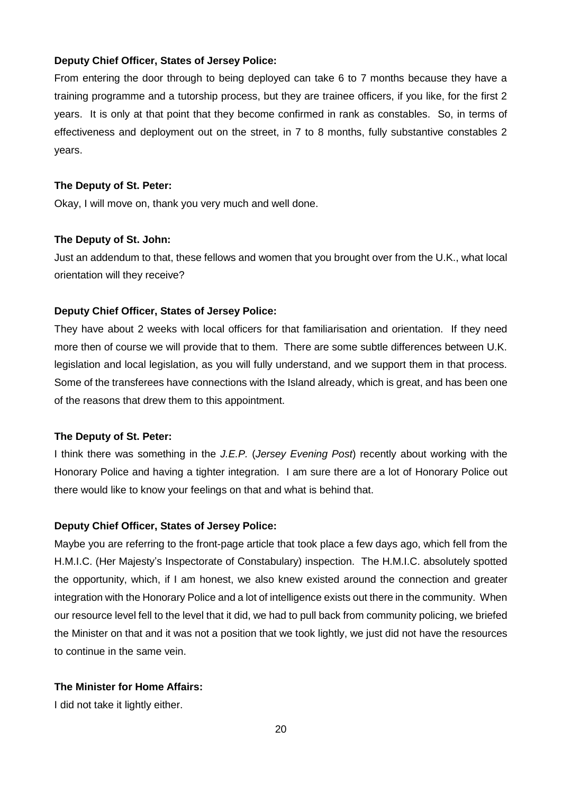#### **Deputy Chief Officer, States of Jersey Police:**

From entering the door through to being deployed can take 6 to 7 months because they have a training programme and a tutorship process, but they are trainee officers, if you like, for the first 2 years. It is only at that point that they become confirmed in rank as constables. So, in terms of effectiveness and deployment out on the street, in 7 to 8 months, fully substantive constables 2 years.

## **The Deputy of St. Peter:**

Okay, I will move on, thank you very much and well done.

#### **The Deputy of St. John:**

Just an addendum to that, these fellows and women that you brought over from the U.K., what local orientation will they receive?

#### **Deputy Chief Officer, States of Jersey Police:**

They have about 2 weeks with local officers for that familiarisation and orientation. If they need more then of course we will provide that to them. There are some subtle differences between U.K. legislation and local legislation, as you will fully understand, and we support them in that process. Some of the transferees have connections with the Island already, which is great, and has been one of the reasons that drew them to this appointment.

#### **The Deputy of St. Peter:**

I think there was something in the *J.E.P.* (*Jersey Evening Post*) recently about working with the Honorary Police and having a tighter integration. I am sure there are a lot of Honorary Police out there would like to know your feelings on that and what is behind that.

#### **Deputy Chief Officer, States of Jersey Police:**

Maybe you are referring to the front-page article that took place a few days ago, which fell from the H.M.I.C. (Her Majesty's Inspectorate of Constabulary) inspection. The H.M.I.C. absolutely spotted the opportunity, which, if I am honest, we also knew existed around the connection and greater integration with the Honorary Police and a lot of intelligence exists out there in the community. When our resource level fell to the level that it did, we had to pull back from community policing, we briefed the Minister on that and it was not a position that we took lightly, we just did not have the resources to continue in the same vein.

## **The Minister for Home Affairs:**

I did not take it lightly either.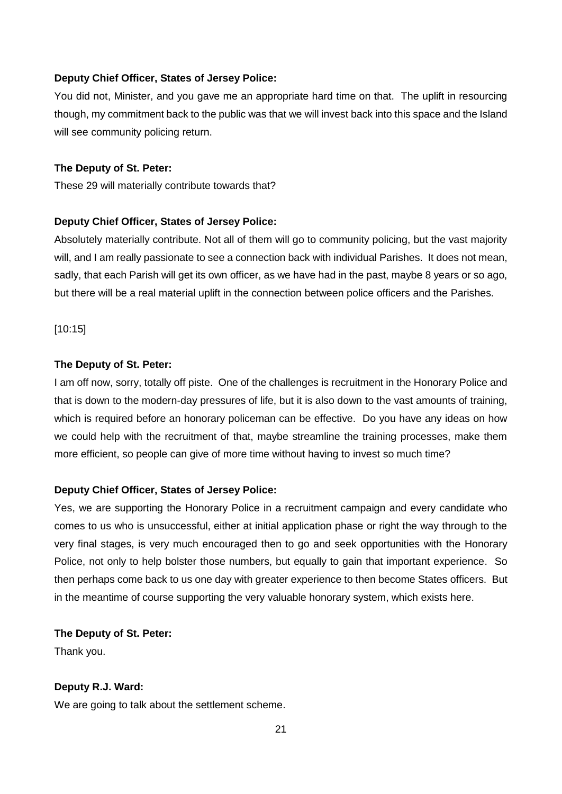#### **Deputy Chief Officer, States of Jersey Police:**

You did not, Minister, and you gave me an appropriate hard time on that. The uplift in resourcing though, my commitment back to the public was that we will invest back into this space and the Island will see community policing return.

#### **The Deputy of St. Peter:**

These 29 will materially contribute towards that?

#### **Deputy Chief Officer, States of Jersey Police:**

Absolutely materially contribute. Not all of them will go to community policing, but the vast majority will, and I am really passionate to see a connection back with individual Parishes. It does not mean, sadly, that each Parish will get its own officer, as we have had in the past, maybe 8 years or so ago, but there will be a real material uplift in the connection between police officers and the Parishes.

[10:15]

#### **The Deputy of St. Peter:**

I am off now, sorry, totally off piste. One of the challenges is recruitment in the Honorary Police and that is down to the modern-day pressures of life, but it is also down to the vast amounts of training, which is required before an honorary policeman can be effective. Do you have any ideas on how we could help with the recruitment of that, maybe streamline the training processes, make them more efficient, so people can give of more time without having to invest so much time?

## **Deputy Chief Officer, States of Jersey Police:**

Yes, we are supporting the Honorary Police in a recruitment campaign and every candidate who comes to us who is unsuccessful, either at initial application phase or right the way through to the very final stages, is very much encouraged then to go and seek opportunities with the Honorary Police, not only to help bolster those numbers, but equally to gain that important experience. So then perhaps come back to us one day with greater experience to then become States officers. But in the meantime of course supporting the very valuable honorary system, which exists here.

#### **The Deputy of St. Peter:**

Thank you.

#### **Deputy R.J. Ward:**

We are going to talk about the settlement scheme.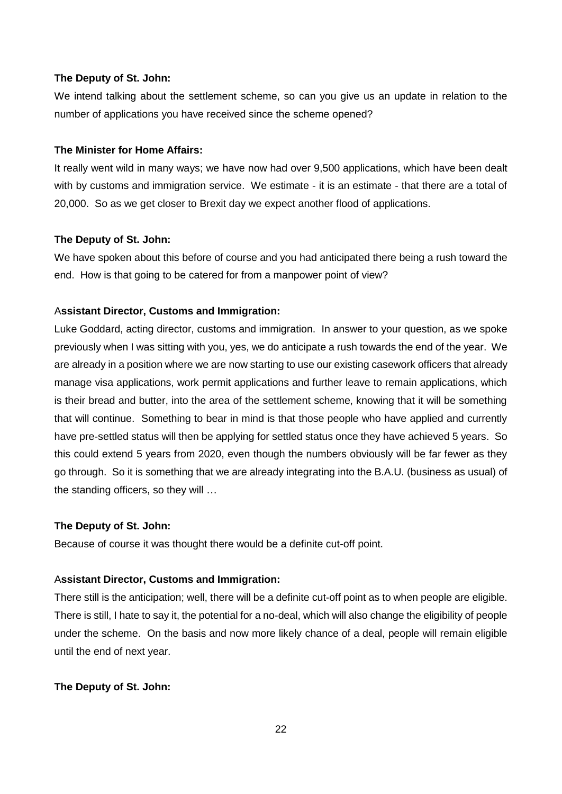#### **The Deputy of St. John:**

We intend talking about the settlement scheme, so can you give us an update in relation to the number of applications you have received since the scheme opened?

## **The Minister for Home Affairs:**

It really went wild in many ways; we have now had over 9,500 applications, which have been dealt with by customs and immigration service. We estimate - it is an estimate - that there are a total of 20,000. So as we get closer to Brexit day we expect another flood of applications.

#### **The Deputy of St. John:**

We have spoken about this before of course and you had anticipated there being a rush toward the end. How is that going to be catered for from a manpower point of view?

#### A**ssistant Director, Customs and Immigration:**

Luke Goddard, acting director, customs and immigration. In answer to your question, as we spoke previously when I was sitting with you, yes, we do anticipate a rush towards the end of the year. We are already in a position where we are now starting to use our existing casework officers that already manage visa applications, work permit applications and further leave to remain applications, which is their bread and butter, into the area of the settlement scheme, knowing that it will be something that will continue. Something to bear in mind is that those people who have applied and currently have pre-settled status will then be applying for settled status once they have achieved 5 years. So this could extend 5 years from 2020, even though the numbers obviously will be far fewer as they go through. So it is something that we are already integrating into the B.A.U. (business as usual) of the standing officers, so they will …

#### **The Deputy of St. John:**

Because of course it was thought there would be a definite cut-off point.

#### A**ssistant Director, Customs and Immigration:**

There still is the anticipation; well, there will be a definite cut-off point as to when people are eligible. There is still, I hate to say it, the potential for a no-deal, which will also change the eligibility of people under the scheme. On the basis and now more likely chance of a deal, people will remain eligible until the end of next year.

#### **The Deputy of St. John:**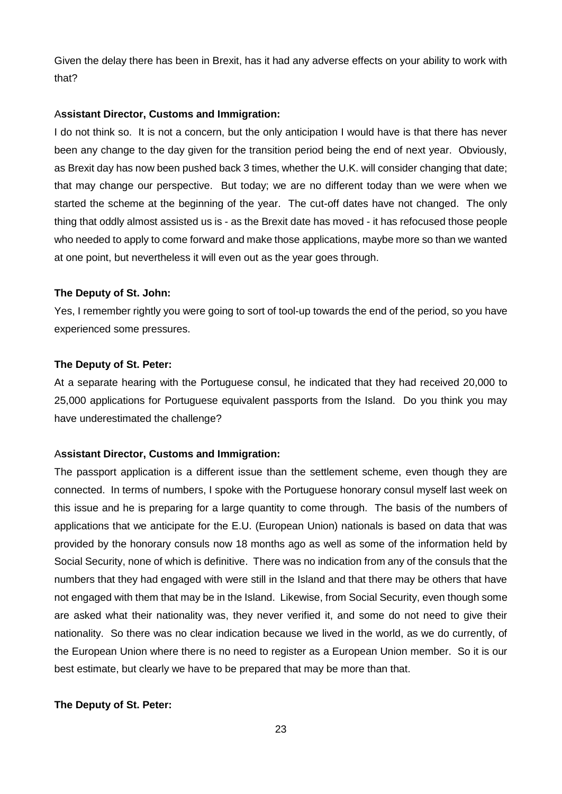Given the delay there has been in Brexit, has it had any adverse effects on your ability to work with that?

#### A**ssistant Director, Customs and Immigration:**

I do not think so. It is not a concern, but the only anticipation I would have is that there has never been any change to the day given for the transition period being the end of next year. Obviously, as Brexit day has now been pushed back 3 times, whether the U.K. will consider changing that date; that may change our perspective. But today; we are no different today than we were when we started the scheme at the beginning of the year. The cut-off dates have not changed. The only thing that oddly almost assisted us is - as the Brexit date has moved - it has refocused those people who needed to apply to come forward and make those applications, maybe more so than we wanted at one point, but nevertheless it will even out as the year goes through.

#### **The Deputy of St. John:**

Yes, I remember rightly you were going to sort of tool-up towards the end of the period, so you have experienced some pressures.

#### **The Deputy of St. Peter:**

At a separate hearing with the Portuguese consul, he indicated that they had received 20,000 to 25,000 applications for Portuguese equivalent passports from the Island. Do you think you may have underestimated the challenge?

#### A**ssistant Director, Customs and Immigration:**

The passport application is a different issue than the settlement scheme, even though they are connected. In terms of numbers, I spoke with the Portuguese honorary consul myself last week on this issue and he is preparing for a large quantity to come through. The basis of the numbers of applications that we anticipate for the E.U. (European Union) nationals is based on data that was provided by the honorary consuls now 18 months ago as well as some of the information held by Social Security, none of which is definitive. There was no indication from any of the consuls that the numbers that they had engaged with were still in the Island and that there may be others that have not engaged with them that may be in the Island. Likewise, from Social Security, even though some are asked what their nationality was, they never verified it, and some do not need to give their nationality. So there was no clear indication because we lived in the world, as we do currently, of the European Union where there is no need to register as a European Union member. So it is our best estimate, but clearly we have to be prepared that may be more than that.

#### **The Deputy of St. Peter:**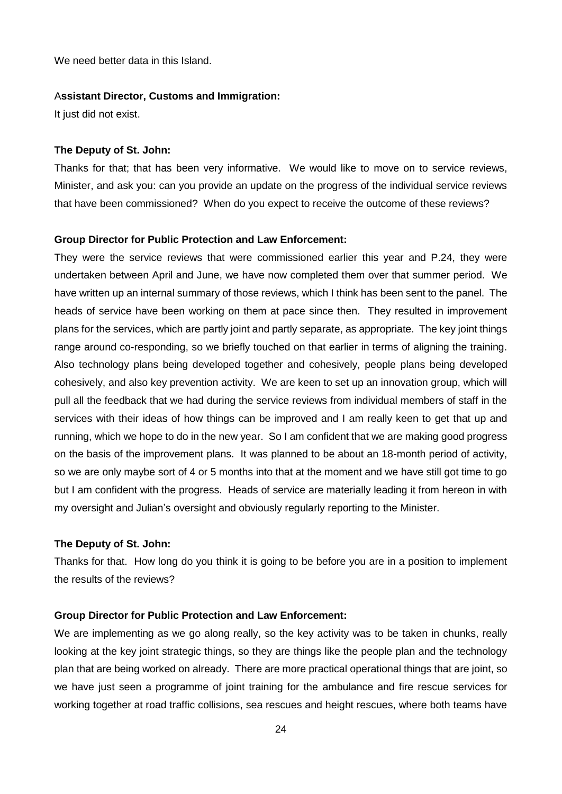We need better data in this Island.

#### A**ssistant Director, Customs and Immigration:**

It just did not exist.

#### **The Deputy of St. John:**

Thanks for that; that has been very informative. We would like to move on to service reviews, Minister, and ask you: can you provide an update on the progress of the individual service reviews that have been commissioned? When do you expect to receive the outcome of these reviews?

#### **Group Director for Public Protection and Law Enforcement:**

They were the service reviews that were commissioned earlier this year and P.24, they were undertaken between April and June, we have now completed them over that summer period. We have written up an internal summary of those reviews, which I think has been sent to the panel. The heads of service have been working on them at pace since then. They resulted in improvement plans for the services, which are partly joint and partly separate, as appropriate. The key joint things range around co-responding, so we briefly touched on that earlier in terms of aligning the training. Also technology plans being developed together and cohesively, people plans being developed cohesively, and also key prevention activity. We are keen to set up an innovation group, which will pull all the feedback that we had during the service reviews from individual members of staff in the services with their ideas of how things can be improved and I am really keen to get that up and running, which we hope to do in the new year. So I am confident that we are making good progress on the basis of the improvement plans. It was planned to be about an 18-month period of activity, so we are only maybe sort of 4 or 5 months into that at the moment and we have still got time to go but I am confident with the progress. Heads of service are materially leading it from hereon in with my oversight and Julian's oversight and obviously regularly reporting to the Minister.

#### **The Deputy of St. John:**

Thanks for that. How long do you think it is going to be before you are in a position to implement the results of the reviews?

#### **Group Director for Public Protection and Law Enforcement:**

We are implementing as we go along really, so the key activity was to be taken in chunks, really looking at the key joint strategic things, so they are things like the people plan and the technology plan that are being worked on already. There are more practical operational things that are joint, so we have just seen a programme of joint training for the ambulance and fire rescue services for working together at road traffic collisions, sea rescues and height rescues, where both teams have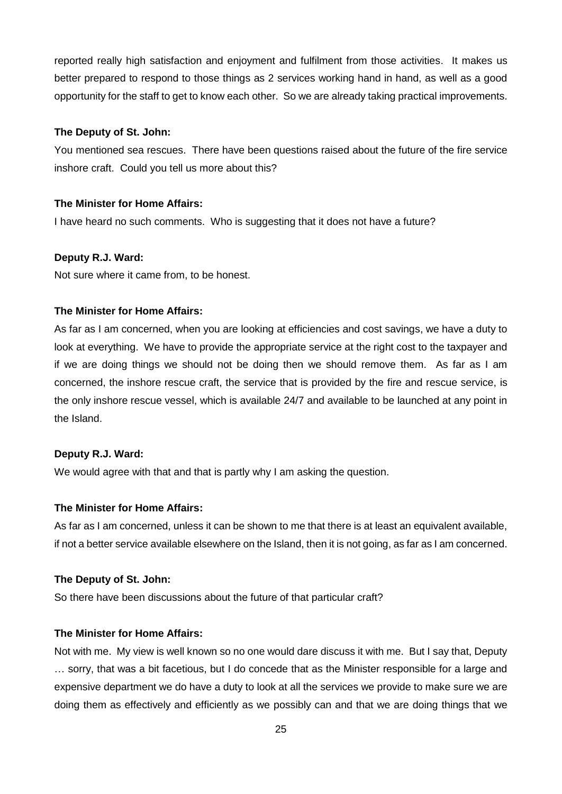reported really high satisfaction and enjoyment and fulfilment from those activities. It makes us better prepared to respond to those things as 2 services working hand in hand, as well as a good opportunity for the staff to get to know each other. So we are already taking practical improvements.

#### **The Deputy of St. John:**

You mentioned sea rescues. There have been questions raised about the future of the fire service inshore craft. Could you tell us more about this?

## **The Minister for Home Affairs:**

I have heard no such comments. Who is suggesting that it does not have a future?

#### **Deputy R.J. Ward:**

Not sure where it came from, to be honest.

#### **The Minister for Home Affairs:**

As far as I am concerned, when you are looking at efficiencies and cost savings, we have a duty to look at everything. We have to provide the appropriate service at the right cost to the taxpayer and if we are doing things we should not be doing then we should remove them. As far as I am concerned, the inshore rescue craft, the service that is provided by the fire and rescue service, is the only inshore rescue vessel, which is available 24/7 and available to be launched at any point in the Island.

#### **Deputy R.J. Ward:**

We would agree with that and that is partly why I am asking the question.

#### **The Minister for Home Affairs:**

As far as I am concerned, unless it can be shown to me that there is at least an equivalent available, if not a better service available elsewhere on the Island, then it is not going, as far as I am concerned.

#### **The Deputy of St. John:**

So there have been discussions about the future of that particular craft?

#### **The Minister for Home Affairs:**

Not with me. My view is well known so no one would dare discuss it with me. But I say that, Deputy … sorry, that was a bit facetious, but I do concede that as the Minister responsible for a large and expensive department we do have a duty to look at all the services we provide to make sure we are doing them as effectively and efficiently as we possibly can and that we are doing things that we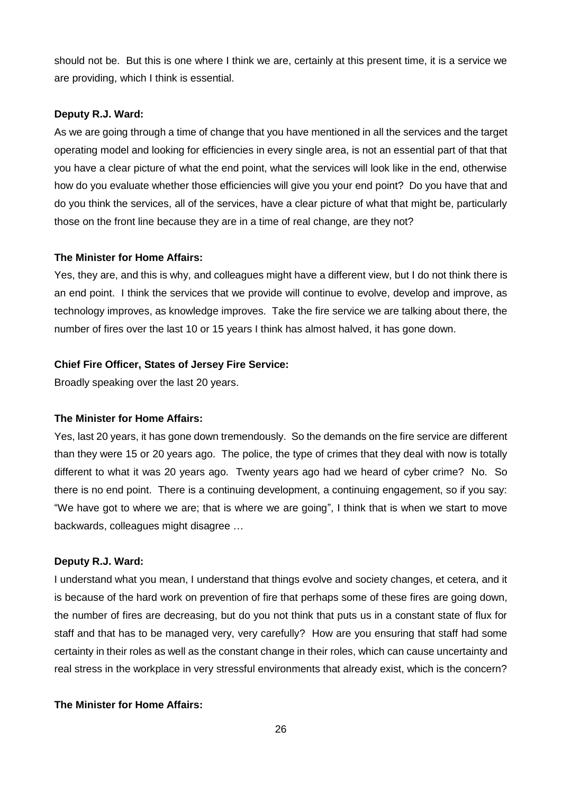should not be. But this is one where I think we are, certainly at this present time, it is a service we are providing, which I think is essential.

#### **Deputy R.J. Ward:**

As we are going through a time of change that you have mentioned in all the services and the target operating model and looking for efficiencies in every single area, is not an essential part of that that you have a clear picture of what the end point, what the services will look like in the end, otherwise how do you evaluate whether those efficiencies will give you your end point? Do you have that and do you think the services, all of the services, have a clear picture of what that might be, particularly those on the front line because they are in a time of real change, are they not?

#### **The Minister for Home Affairs:**

Yes, they are, and this is why, and colleagues might have a different view, but I do not think there is an end point. I think the services that we provide will continue to evolve, develop and improve, as technology improves, as knowledge improves. Take the fire service we are talking about there, the number of fires over the last 10 or 15 years I think has almost halved, it has gone down.

#### **Chief Fire Officer, States of Jersey Fire Service:**

Broadly speaking over the last 20 years.

#### **The Minister for Home Affairs:**

Yes, last 20 years, it has gone down tremendously. So the demands on the fire service are different than they were 15 or 20 years ago. The police, the type of crimes that they deal with now is totally different to what it was 20 years ago. Twenty years ago had we heard of cyber crime? No. So there is no end point. There is a continuing development, a continuing engagement, so if you say: "We have got to where we are; that is where we are going", I think that is when we start to move backwards, colleagues might disagree …

#### **Deputy R.J. Ward:**

I understand what you mean, I understand that things evolve and society changes, et cetera, and it is because of the hard work on prevention of fire that perhaps some of these fires are going down, the number of fires are decreasing, but do you not think that puts us in a constant state of flux for staff and that has to be managed very, very carefully? How are you ensuring that staff had some certainty in their roles as well as the constant change in their roles, which can cause uncertainty and real stress in the workplace in very stressful environments that already exist, which is the concern?

#### **The Minister for Home Affairs:**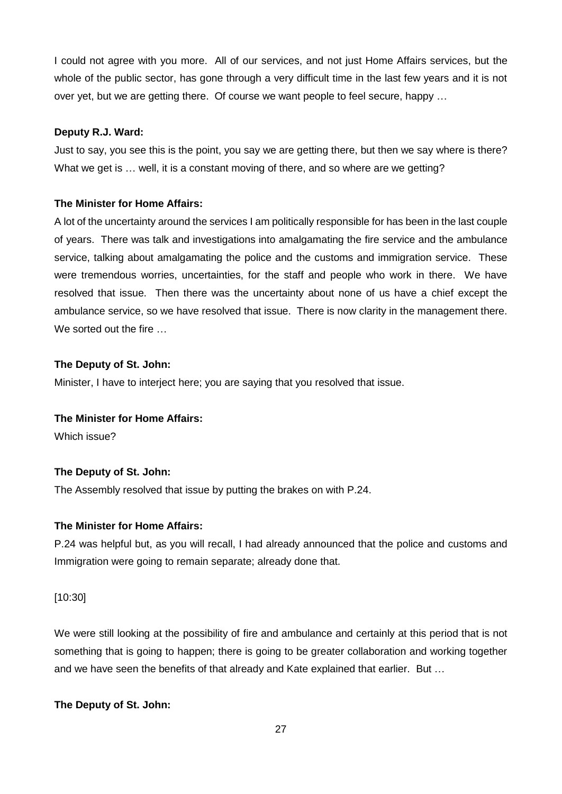I could not agree with you more. All of our services, and not just Home Affairs services, but the whole of the public sector, has gone through a very difficult time in the last few years and it is not over yet, but we are getting there. Of course we want people to feel secure, happy …

#### **Deputy R.J. Ward:**

Just to say, you see this is the point, you say we are getting there, but then we say where is there? What we get is … well, it is a constant moving of there, and so where are we getting?

## **The Minister for Home Affairs:**

A lot of the uncertainty around the services I am politically responsible for has been in the last couple of years. There was talk and investigations into amalgamating the fire service and the ambulance service, talking about amalgamating the police and the customs and immigration service. These were tremendous worries, uncertainties, for the staff and people who work in there. We have resolved that issue. Then there was the uncertainty about none of us have a chief except the ambulance service, so we have resolved that issue. There is now clarity in the management there. We sorted out the fire

## **The Deputy of St. John:**

Minister, I have to interject here; you are saying that you resolved that issue.

#### **The Minister for Home Affairs:**

Which issue?

## **The Deputy of St. John:**

The Assembly resolved that issue by putting the brakes on with P.24.

#### **The Minister for Home Affairs:**

P.24 was helpful but, as you will recall, I had already announced that the police and customs and Immigration were going to remain separate; already done that.

## [10:30]

We were still looking at the possibility of fire and ambulance and certainly at this period that is not something that is going to happen; there is going to be greater collaboration and working together and we have seen the benefits of that already and Kate explained that earlier. But …

## **The Deputy of St. John:**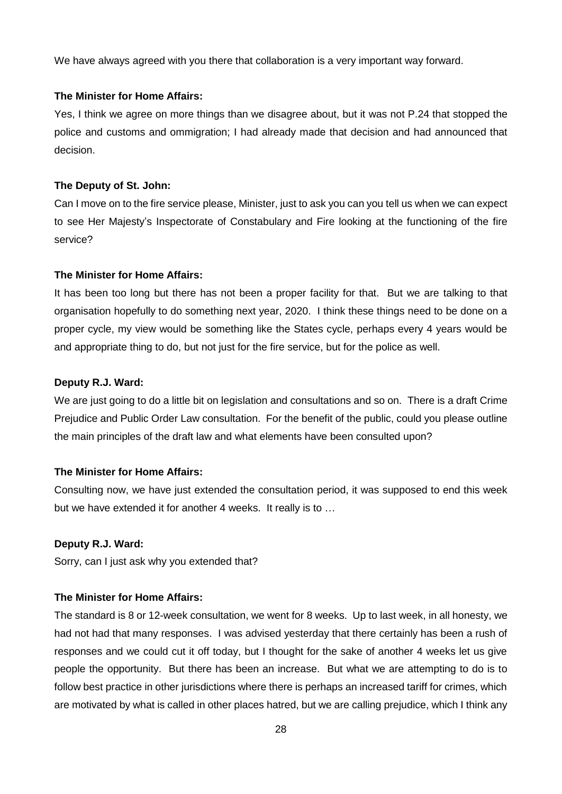We have always agreed with you there that collaboration is a very important way forward.

#### **The Minister for Home Affairs:**

Yes, I think we agree on more things than we disagree about, but it was not P.24 that stopped the police and customs and ommigration; I had already made that decision and had announced that decision.

## **The Deputy of St. John:**

Can I move on to the fire service please, Minister, just to ask you can you tell us when we can expect to see Her Majesty's Inspectorate of Constabulary and Fire looking at the functioning of the fire service?

#### **The Minister for Home Affairs:**

It has been too long but there has not been a proper facility for that. But we are talking to that organisation hopefully to do something next year, 2020. I think these things need to be done on a proper cycle, my view would be something like the States cycle, perhaps every 4 years would be and appropriate thing to do, but not just for the fire service, but for the police as well.

#### **Deputy R.J. Ward:**

We are just going to do a little bit on legislation and consultations and so on. There is a draft Crime Prejudice and Public Order Law consultation. For the benefit of the public, could you please outline the main principles of the draft law and what elements have been consulted upon?

## **The Minister for Home Affairs:**

Consulting now, we have just extended the consultation period, it was supposed to end this week but we have extended it for another 4 weeks. It really is to …

#### **Deputy R.J. Ward:**

Sorry, can I just ask why you extended that?

## **The Minister for Home Affairs:**

The standard is 8 or 12-week consultation, we went for 8 weeks. Up to last week, in all honesty, we had not had that many responses. I was advised yesterday that there certainly has been a rush of responses and we could cut it off today, but I thought for the sake of another 4 weeks let us give people the opportunity. But there has been an increase. But what we are attempting to do is to follow best practice in other jurisdictions where there is perhaps an increased tariff for crimes, which are motivated by what is called in other places hatred, but we are calling prejudice, which I think any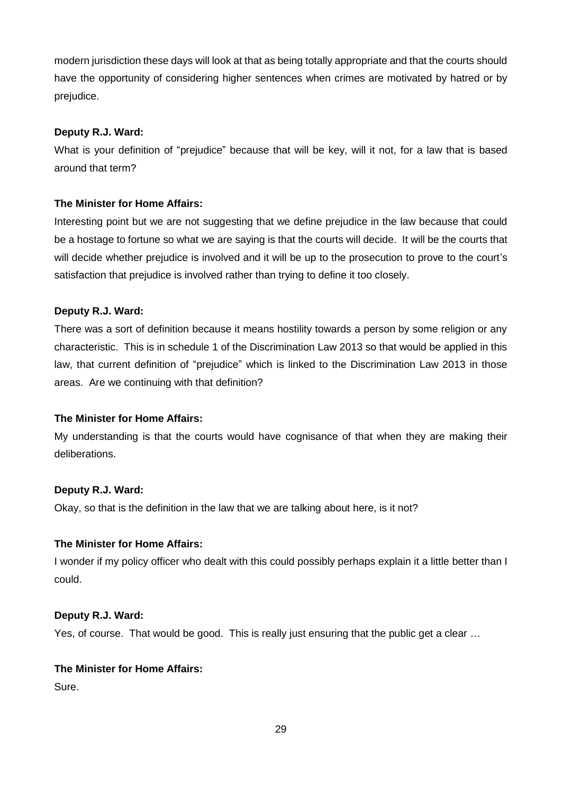modern jurisdiction these days will look at that as being totally appropriate and that the courts should have the opportunity of considering higher sentences when crimes are motivated by hatred or by prejudice.

## **Deputy R.J. Ward:**

What is your definition of "prejudice" because that will be key, will it not, for a law that is based around that term?

## **The Minister for Home Affairs:**

Interesting point but we are not suggesting that we define prejudice in the law because that could be a hostage to fortune so what we are saying is that the courts will decide. It will be the courts that will decide whether prejudice is involved and it will be up to the prosecution to prove to the court's satisfaction that prejudice is involved rather than trying to define it too closely.

## **Deputy R.J. Ward:**

There was a sort of definition because it means hostility towards a person by some religion or any characteristic. This is in schedule 1 of the Discrimination Law 2013 so that would be applied in this law, that current definition of "prejudice" which is linked to the Discrimination Law 2013 in those areas. Are we continuing with that definition?

#### **The Minister for Home Affairs:**

My understanding is that the courts would have cognisance of that when they are making their deliberations.

#### **Deputy R.J. Ward:**

Okay, so that is the definition in the law that we are talking about here, is it not?

## **The Minister for Home Affairs:**

I wonder if my policy officer who dealt with this could possibly perhaps explain it a little better than I could.

## **Deputy R.J. Ward:**

Yes, of course. That would be good. This is really just ensuring that the public get a clear …

## **The Minister for Home Affairs:**

Sure.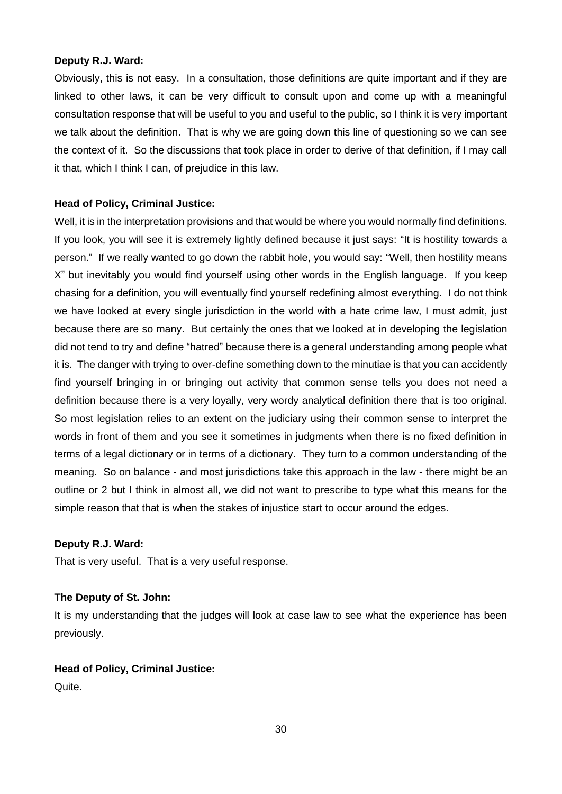#### **Deputy R.J. Ward:**

Obviously, this is not easy. In a consultation, those definitions are quite important and if they are linked to other laws, it can be very difficult to consult upon and come up with a meaningful consultation response that will be useful to you and useful to the public, so I think it is very important we talk about the definition. That is why we are going down this line of questioning so we can see the context of it. So the discussions that took place in order to derive of that definition, if I may call it that, which I think I can, of prejudice in this law.

#### **Head of Policy, Criminal Justice:**

Well, it is in the interpretation provisions and that would be where you would normally find definitions. If you look, you will see it is extremely lightly defined because it just says: "It is hostility towards a person." If we really wanted to go down the rabbit hole, you would say: "Well, then hostility means X" but inevitably you would find yourself using other words in the English language. If you keep chasing for a definition, you will eventually find yourself redefining almost everything. I do not think we have looked at every single jurisdiction in the world with a hate crime law, I must admit, just because there are so many. But certainly the ones that we looked at in developing the legislation did not tend to try and define "hatred" because there is a general understanding among people what it is. The danger with trying to over-define something down to the minutiae is that you can accidently find yourself bringing in or bringing out activity that common sense tells you does not need a definition because there is a very loyally, very wordy analytical definition there that is too original. So most legislation relies to an extent on the judiciary using their common sense to interpret the words in front of them and you see it sometimes in judgments when there is no fixed definition in terms of a legal dictionary or in terms of a dictionary. They turn to a common understanding of the meaning. So on balance - and most jurisdictions take this approach in the law - there might be an outline or 2 but I think in almost all, we did not want to prescribe to type what this means for the simple reason that that is when the stakes of injustice start to occur around the edges.

#### **Deputy R.J. Ward:**

That is very useful. That is a very useful response.

#### **The Deputy of St. John:**

It is my understanding that the judges will look at case law to see what the experience has been previously.

#### **Head of Policy, Criminal Justice:**

Quite.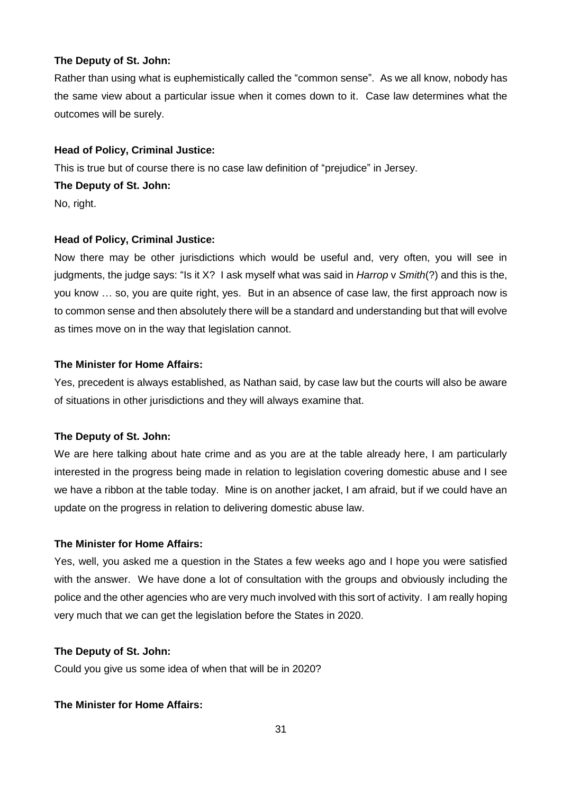## **The Deputy of St. John:**

Rather than using what is euphemistically called the "common sense". As we all know, nobody has the same view about a particular issue when it comes down to it. Case law determines what the outcomes will be surely.

## **Head of Policy, Criminal Justice:**

This is true but of course there is no case law definition of "prejudice" in Jersey.

## **The Deputy of St. John:**

No, right.

## **Head of Policy, Criminal Justice:**

Now there may be other jurisdictions which would be useful and, very often, you will see in judgments, the judge says: "Is it X? I ask myself what was said in *Harrop* v *Smith*(?) and this is the, you know … so, you are quite right, yes. But in an absence of case law, the first approach now is to common sense and then absolutely there will be a standard and understanding but that will evolve as times move on in the way that legislation cannot.

## **The Minister for Home Affairs:**

Yes, precedent is always established, as Nathan said, by case law but the courts will also be aware of situations in other jurisdictions and they will always examine that.

## **The Deputy of St. John:**

We are here talking about hate crime and as you are at the table already here, I am particularly interested in the progress being made in relation to legislation covering domestic abuse and I see we have a ribbon at the table today. Mine is on another jacket, I am afraid, but if we could have an update on the progress in relation to delivering domestic abuse law.

## **The Minister for Home Affairs:**

Yes, well, you asked me a question in the States a few weeks ago and I hope you were satisfied with the answer. We have done a lot of consultation with the groups and obviously including the police and the other agencies who are very much involved with this sort of activity. I am really hoping very much that we can get the legislation before the States in 2020.

## **The Deputy of St. John:**

Could you give us some idea of when that will be in 2020?

## **The Minister for Home Affairs:**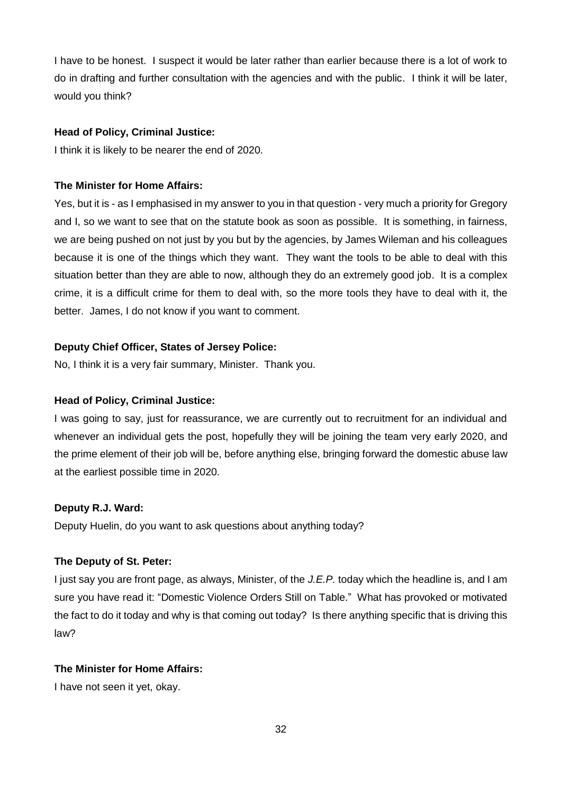I have to be honest. I suspect it would be later rather than earlier because there is a lot of work to do in drafting and further consultation with the agencies and with the public. I think it will be later, would you think?

#### **Head of Policy, Criminal Justice:**

I think it is likely to be nearer the end of 2020.

#### **The Minister for Home Affairs:**

Yes, but it is - as I emphasised in my answer to you in that question - very much a priority for Gregory and I, so we want to see that on the statute book as soon as possible. It is something, in fairness, we are being pushed on not just by you but by the agencies, by James Wileman and his colleagues because it is one of the things which they want. They want the tools to be able to deal with this situation better than they are able to now, although they do an extremely good job. It is a complex crime, it is a difficult crime for them to deal with, so the more tools they have to deal with it, the better. James, I do not know if you want to comment.

#### **Deputy Chief Officer, States of Jersey Police:**

No, I think it is a very fair summary, Minister. Thank you.

#### **Head of Policy, Criminal Justice:**

I was going to say, just for reassurance, we are currently out to recruitment for an individual and whenever an individual gets the post, hopefully they will be joining the team very early 2020, and the prime element of their job will be, before anything else, bringing forward the domestic abuse law at the earliest possible time in 2020.

#### **Deputy R.J. Ward:**

Deputy Huelin, do you want to ask questions about anything today?

#### **The Deputy of St. Peter:**

I just say you are front page, as always, Minister, of the *J.E.P.* today which the headline is, and I am sure you have read it: "Domestic Violence Orders Still on Table." What has provoked or motivated the fact to do it today and why is that coming out today? Is there anything specific that is driving this law?

#### **The Minister for Home Affairs:**

I have not seen it yet, okay.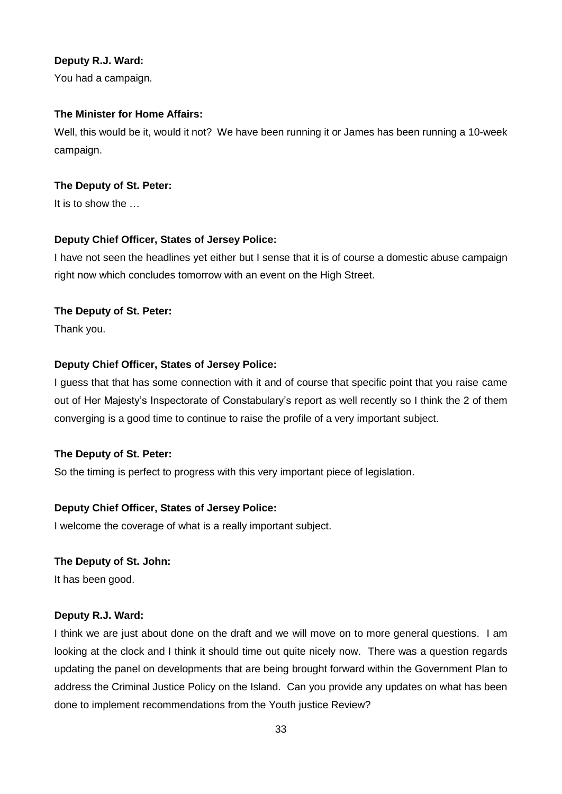## **Deputy R.J. Ward:**

You had a campaign.

#### **The Minister for Home Affairs:**

Well, this would be it, would it not? We have been running it or James has been running a 10-week campaign.

## **The Deputy of St. Peter:**

It is to show the …

## **Deputy Chief Officer, States of Jersey Police:**

I have not seen the headlines yet either but I sense that it is of course a domestic abuse campaign right now which concludes tomorrow with an event on the High Street.

## **The Deputy of St. Peter:**

Thank you.

## **Deputy Chief Officer, States of Jersey Police:**

I guess that that has some connection with it and of course that specific point that you raise came out of Her Majesty's Inspectorate of Constabulary's report as well recently so I think the 2 of them converging is a good time to continue to raise the profile of a very important subject.

## **The Deputy of St. Peter:**

So the timing is perfect to progress with this very important piece of legislation.

## **Deputy Chief Officer, States of Jersey Police:**

I welcome the coverage of what is a really important subject.

#### **The Deputy of St. John:**

It has been good.

## **Deputy R.J. Ward:**

I think we are just about done on the draft and we will move on to more general questions. I am looking at the clock and I think it should time out quite nicely now. There was a question regards updating the panel on developments that are being brought forward within the Government Plan to address the Criminal Justice Policy on the Island. Can you provide any updates on what has been done to implement recommendations from the Youth justice Review?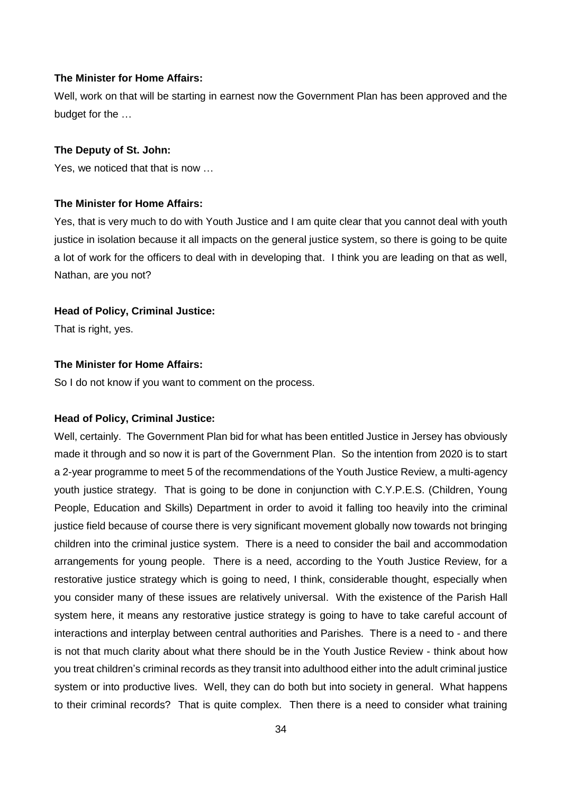## **The Minister for Home Affairs:**

Well, work on that will be starting in earnest now the Government Plan has been approved and the budget for the …

#### **The Deputy of St. John:**

Yes, we noticed that that is now …

## **The Minister for Home Affairs:**

Yes, that is very much to do with Youth Justice and I am quite clear that you cannot deal with youth justice in isolation because it all impacts on the general justice system, so there is going to be quite a lot of work for the officers to deal with in developing that. I think you are leading on that as well, Nathan, are you not?

#### **Head of Policy, Criminal Justice:**

That is right, yes.

#### **The Minister for Home Affairs:**

So I do not know if you want to comment on the process.

#### **Head of Policy, Criminal Justice:**

Well, certainly. The Government Plan bid for what has been entitled Justice in Jersey has obviously made it through and so now it is part of the Government Plan. So the intention from 2020 is to start a 2-year programme to meet 5 of the recommendations of the Youth Justice Review, a multi-agency youth justice strategy. That is going to be done in conjunction with C.Y.P.E.S. (Children, Young People, Education and Skills) Department in order to avoid it falling too heavily into the criminal justice field because of course there is very significant movement globally now towards not bringing children into the criminal justice system. There is a need to consider the bail and accommodation arrangements for young people. There is a need, according to the Youth Justice Review, for a restorative justice strategy which is going to need, I think, considerable thought, especially when you consider many of these issues are relatively universal. With the existence of the Parish Hall system here, it means any restorative justice strategy is going to have to take careful account of interactions and interplay between central authorities and Parishes. There is a need to - and there is not that much clarity about what there should be in the Youth Justice Review - think about how you treat children's criminal records as they transit into adulthood either into the adult criminal justice system or into productive lives. Well, they can do both but into society in general. What happens to their criminal records? That is quite complex. Then there is a need to consider what training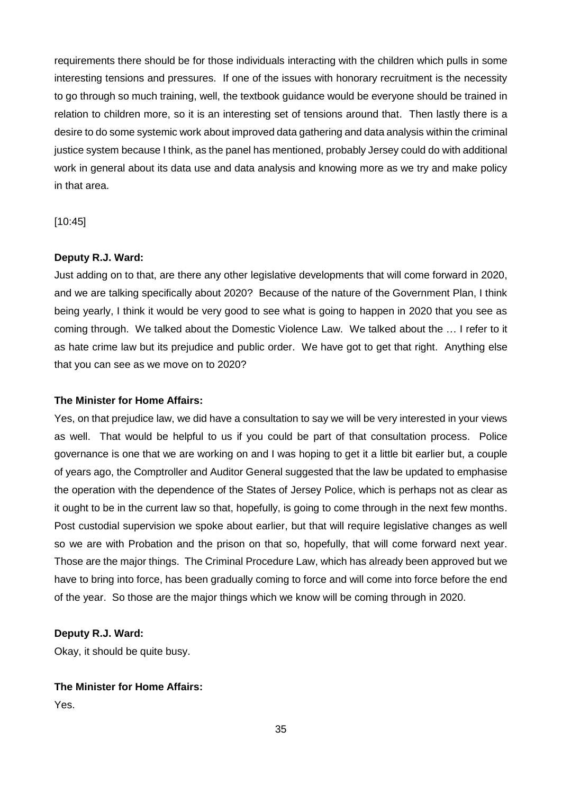requirements there should be for those individuals interacting with the children which pulls in some interesting tensions and pressures. If one of the issues with honorary recruitment is the necessity to go through so much training, well, the textbook guidance would be everyone should be trained in relation to children more, so it is an interesting set of tensions around that. Then lastly there is a desire to do some systemic work about improved data gathering and data analysis within the criminal justice system because I think, as the panel has mentioned, probably Jersey could do with additional work in general about its data use and data analysis and knowing more as we try and make policy in that area.

[10:45]

#### **Deputy R.J. Ward:**

Just adding on to that, are there any other legislative developments that will come forward in 2020, and we are talking specifically about 2020? Because of the nature of the Government Plan, I think being yearly, I think it would be very good to see what is going to happen in 2020 that you see as coming through. We talked about the Domestic Violence Law. We talked about the … I refer to it as hate crime law but its prejudice and public order. We have got to get that right. Anything else that you can see as we move on to 2020?

#### **The Minister for Home Affairs:**

Yes, on that prejudice law, we did have a consultation to say we will be very interested in your views as well. That would be helpful to us if you could be part of that consultation process. Police governance is one that we are working on and I was hoping to get it a little bit earlier but, a couple of years ago, the Comptroller and Auditor General suggested that the law be updated to emphasise the operation with the dependence of the States of Jersey Police, which is perhaps not as clear as it ought to be in the current law so that, hopefully, is going to come through in the next few months. Post custodial supervision we spoke about earlier, but that will require legislative changes as well so we are with Probation and the prison on that so, hopefully, that will come forward next year. Those are the major things. The Criminal Procedure Law, which has already been approved but we have to bring into force, has been gradually coming to force and will come into force before the end of the year. So those are the major things which we know will be coming through in 2020.

## **Deputy R.J. Ward:**

Okay, it should be quite busy.

## **The Minister for Home Affairs:**

Yes.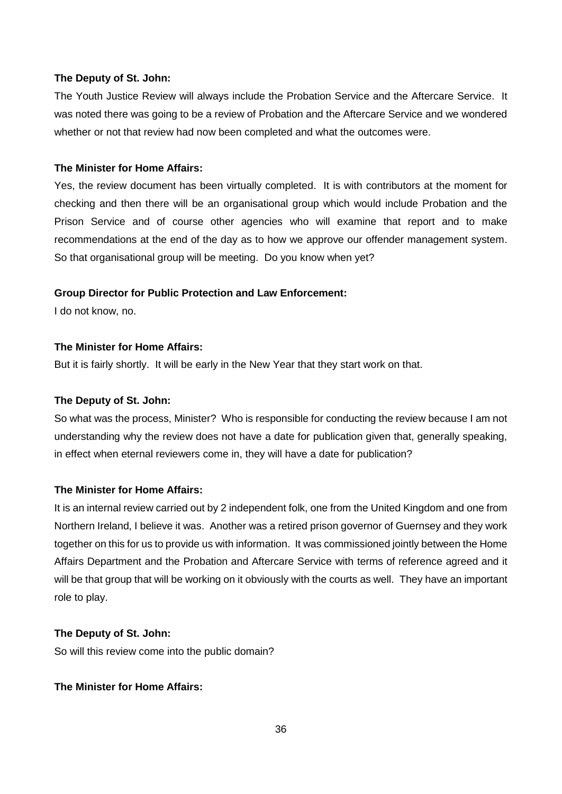#### **The Deputy of St. John:**

The Youth Justice Review will always include the Probation Service and the Aftercare Service. It was noted there was going to be a review of Probation and the Aftercare Service and we wondered whether or not that review had now been completed and what the outcomes were.

#### **The Minister for Home Affairs:**

Yes, the review document has been virtually completed. It is with contributors at the moment for checking and then there will be an organisational group which would include Probation and the Prison Service and of course other agencies who will examine that report and to make recommendations at the end of the day as to how we approve our offender management system. So that organisational group will be meeting. Do you know when yet?

#### **Group Director for Public Protection and Law Enforcement:**

I do not know, no.

#### **The Minister for Home Affairs:**

But it is fairly shortly. It will be early in the New Year that they start work on that.

#### **The Deputy of St. John:**

So what was the process, Minister? Who is responsible for conducting the review because I am not understanding why the review does not have a date for publication given that, generally speaking, in effect when eternal reviewers come in, they will have a date for publication?

#### **The Minister for Home Affairs:**

It is an internal review carried out by 2 independent folk, one from the United Kingdom and one from Northern Ireland, I believe it was. Another was a retired prison governor of Guernsey and they work together on this for us to provide us with information. It was commissioned jointly between the Home Affairs Department and the Probation and Aftercare Service with terms of reference agreed and it will be that group that will be working on it obviously with the courts as well. They have an important role to play.

#### **The Deputy of St. John:**

So will this review come into the public domain?

## **The Minister for Home Affairs:**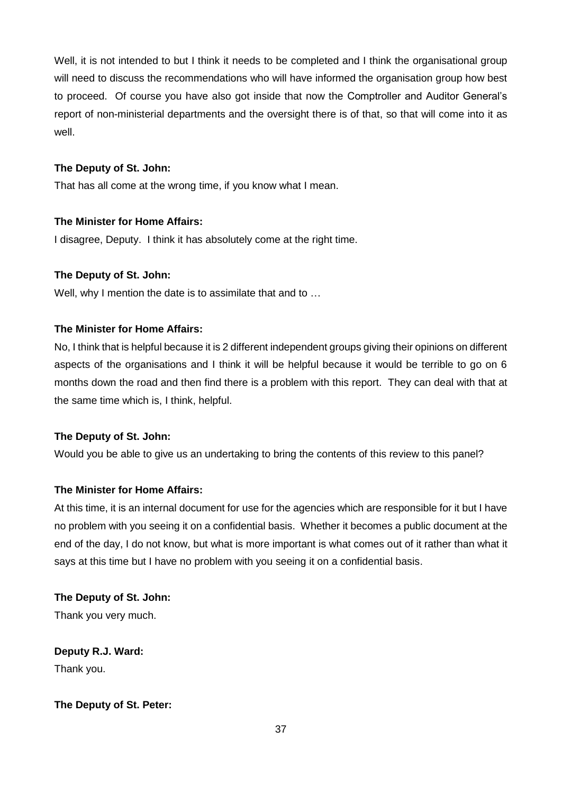Well, it is not intended to but I think it needs to be completed and I think the organisational group will need to discuss the recommendations who will have informed the organisation group how best to proceed. Of course you have also got inside that now the Comptroller and Auditor General's report of non-ministerial departments and the oversight there is of that, so that will come into it as well.

## **The Deputy of St. John:**

That has all come at the wrong time, if you know what I mean.

## **The Minister for Home Affairs:**

I disagree, Deputy. I think it has absolutely come at the right time.

## **The Deputy of St. John:**

Well, why I mention the date is to assimilate that and to …

## **The Minister for Home Affairs:**

No, I think that is helpful because it is 2 different independent groups giving their opinions on different aspects of the organisations and I think it will be helpful because it would be terrible to go on 6 months down the road and then find there is a problem with this report. They can deal with that at the same time which is, I think, helpful.

#### **The Deputy of St. John:**

Would you be able to give us an undertaking to bring the contents of this review to this panel?

## **The Minister for Home Affairs:**

At this time, it is an internal document for use for the agencies which are responsible for it but I have no problem with you seeing it on a confidential basis. Whether it becomes a public document at the end of the day, I do not know, but what is more important is what comes out of it rather than what it says at this time but I have no problem with you seeing it on a confidential basis.

## **The Deputy of St. John:**

Thank you very much.

**Deputy R.J. Ward:** Thank you.

## **The Deputy of St. Peter:**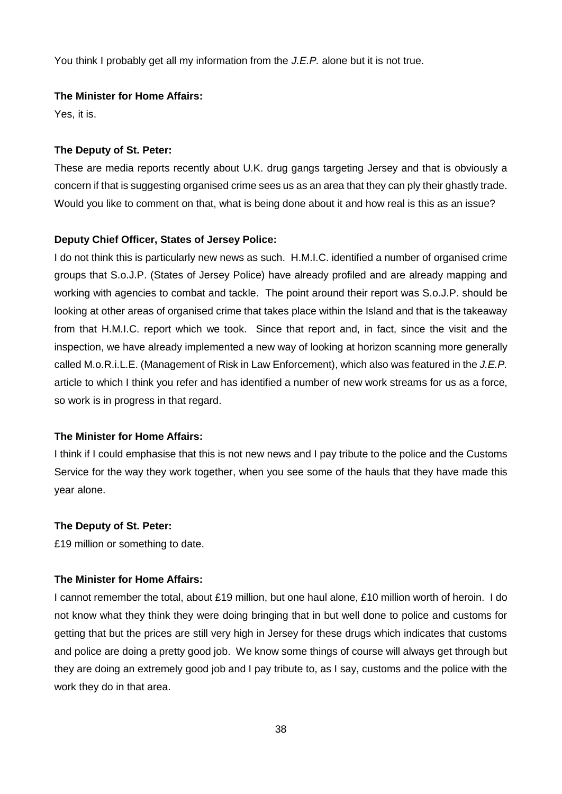You think I probably get all my information from the *J.E.P.* alone but it is not true.

#### **The Minister for Home Affairs:**

Yes, it is.

#### **The Deputy of St. Peter:**

These are media reports recently about U.K. drug gangs targeting Jersey and that is obviously a concern if that is suggesting organised crime sees us as an area that they can ply their ghastly trade. Would you like to comment on that, what is being done about it and how real is this as an issue?

#### **Deputy Chief Officer, States of Jersey Police:**

I do not think this is particularly new news as such. H.M.I.C. identified a number of organised crime groups that S.o.J.P. (States of Jersey Police) have already profiled and are already mapping and working with agencies to combat and tackle. The point around their report was S.o.J.P. should be looking at other areas of organised crime that takes place within the Island and that is the takeaway from that H.M.I.C. report which we took. Since that report and, in fact, since the visit and the inspection, we have already implemented a new way of looking at horizon scanning more generally called M.o.R.i.L.E. (Management of Risk in Law Enforcement), which also was featured in the *J.E.P.*  article to which I think you refer and has identified a number of new work streams for us as a force, so work is in progress in that regard.

#### **The Minister for Home Affairs:**

I think if I could emphasise that this is not new news and I pay tribute to the police and the Customs Service for the way they work together, when you see some of the hauls that they have made this year alone.

#### **The Deputy of St. Peter:**

£19 million or something to date.

#### **The Minister for Home Affairs:**

I cannot remember the total, about £19 million, but one haul alone, £10 million worth of heroin. I do not know what they think they were doing bringing that in but well done to police and customs for getting that but the prices are still very high in Jersey for these drugs which indicates that customs and police are doing a pretty good job. We know some things of course will always get through but they are doing an extremely good job and I pay tribute to, as I say, customs and the police with the work they do in that area.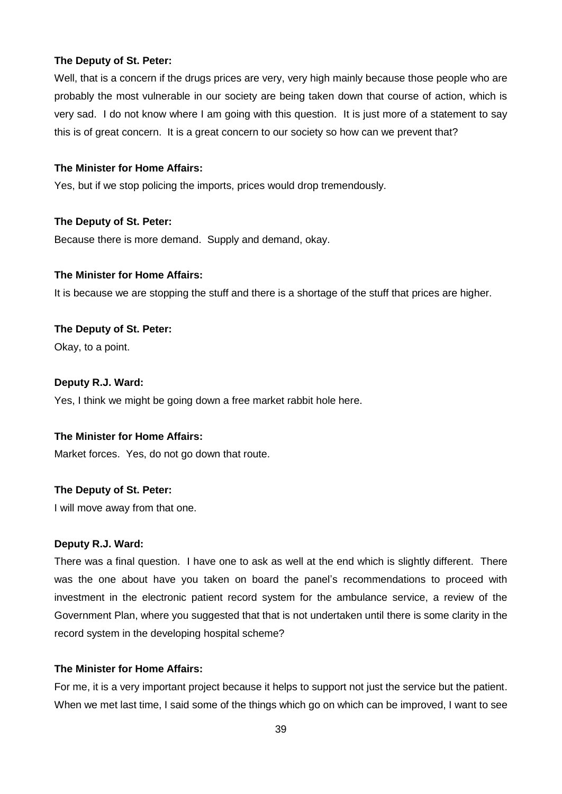#### **The Deputy of St. Peter:**

Well, that is a concern if the drugs prices are very, very high mainly because those people who are probably the most vulnerable in our society are being taken down that course of action, which is very sad. I do not know where I am going with this question. It is just more of a statement to say this is of great concern. It is a great concern to our society so how can we prevent that?

#### **The Minister for Home Affairs:**

Yes, but if we stop policing the imports, prices would drop tremendously.

#### **The Deputy of St. Peter:**

Because there is more demand. Supply and demand, okay.

#### **The Minister for Home Affairs:**

It is because we are stopping the stuff and there is a shortage of the stuff that prices are higher.

#### **The Deputy of St. Peter:**

Okay, to a point.

#### **Deputy R.J. Ward:**

Yes, I think we might be going down a free market rabbit hole here.

#### **The Minister for Home Affairs:**

Market forces. Yes, do not go down that route.

#### **The Deputy of St. Peter:**

I will move away from that one.

#### **Deputy R.J. Ward:**

There was a final question. I have one to ask as well at the end which is slightly different. There was the one about have you taken on board the panel's recommendations to proceed with investment in the electronic patient record system for the ambulance service, a review of the Government Plan, where you suggested that that is not undertaken until there is some clarity in the record system in the developing hospital scheme?

## **The Minister for Home Affairs:**

For me, it is a very important project because it helps to support not just the service but the patient. When we met last time, I said some of the things which go on which can be improved, I want to see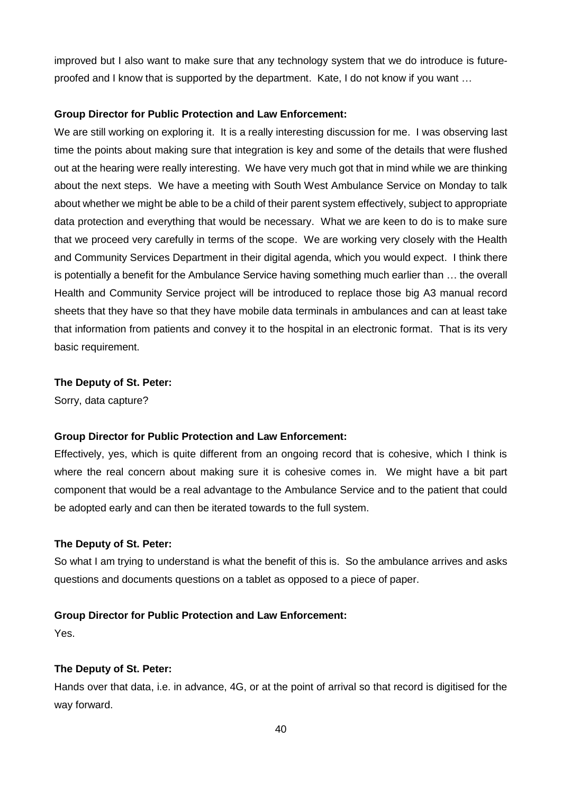improved but I also want to make sure that any technology system that we do introduce is futureproofed and I know that is supported by the department. Kate, I do not know if you want …

#### **Group Director for Public Protection and Law Enforcement:**

We are still working on exploring it. It is a really interesting discussion for me. I was observing last time the points about making sure that integration is key and some of the details that were flushed out at the hearing were really interesting. We have very much got that in mind while we are thinking about the next steps. We have a meeting with South West Ambulance Service on Monday to talk about whether we might be able to be a child of their parent system effectively, subject to appropriate data protection and everything that would be necessary. What we are keen to do is to make sure that we proceed very carefully in terms of the scope. We are working very closely with the Health and Community Services Department in their digital agenda, which you would expect. I think there is potentially a benefit for the Ambulance Service having something much earlier than … the overall Health and Community Service project will be introduced to replace those big A3 manual record sheets that they have so that they have mobile data terminals in ambulances and can at least take that information from patients and convey it to the hospital in an electronic format. That is its very basic requirement.

## **The Deputy of St. Peter:**

Sorry, data capture?

#### **Group Director for Public Protection and Law Enforcement:**

Effectively, yes, which is quite different from an ongoing record that is cohesive, which I think is where the real concern about making sure it is cohesive comes in. We might have a bit part component that would be a real advantage to the Ambulance Service and to the patient that could be adopted early and can then be iterated towards to the full system.

#### **The Deputy of St. Peter:**

So what I am trying to understand is what the benefit of this is. So the ambulance arrives and asks questions and documents questions on a tablet as opposed to a piece of paper.

#### **Group Director for Public Protection and Law Enforcement:**

Yes.

#### **The Deputy of St. Peter:**

Hands over that data, i.e. in advance, 4G, or at the point of arrival so that record is digitised for the way forward.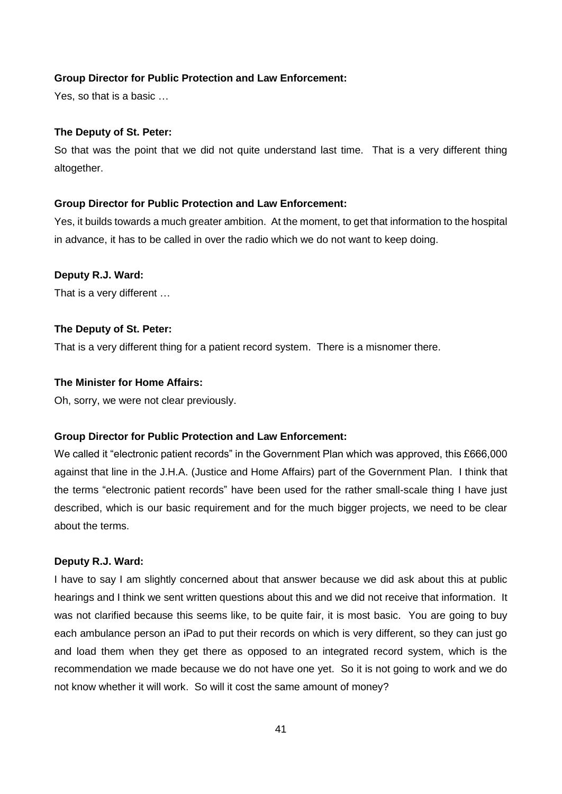#### **Group Director for Public Protection and Law Enforcement:**

Yes, so that is a basic …

#### **The Deputy of St. Peter:**

So that was the point that we did not quite understand last time. That is a very different thing altogether.

#### **Group Director for Public Protection and Law Enforcement:**

Yes, it builds towards a much greater ambition. At the moment, to get that information to the hospital in advance, it has to be called in over the radio which we do not want to keep doing.

#### **Deputy R.J. Ward:**

That is a very different …

#### **The Deputy of St. Peter:**

That is a very different thing for a patient record system. There is a misnomer there.

#### **The Minister for Home Affairs:**

Oh, sorry, we were not clear previously.

#### **Group Director for Public Protection and Law Enforcement:**

We called it "electronic patient records" in the Government Plan which was approved, this £666,000 against that line in the J.H.A. (Justice and Home Affairs) part of the Government Plan. I think that the terms "electronic patient records" have been used for the rather small-scale thing I have just described, which is our basic requirement and for the much bigger projects, we need to be clear about the terms.

#### **Deputy R.J. Ward:**

I have to say I am slightly concerned about that answer because we did ask about this at public hearings and I think we sent written questions about this and we did not receive that information. It was not clarified because this seems like, to be quite fair, it is most basic. You are going to buy each ambulance person an iPad to put their records on which is very different, so they can just go and load them when they get there as opposed to an integrated record system, which is the recommendation we made because we do not have one yet. So it is not going to work and we do not know whether it will work. So will it cost the same amount of money?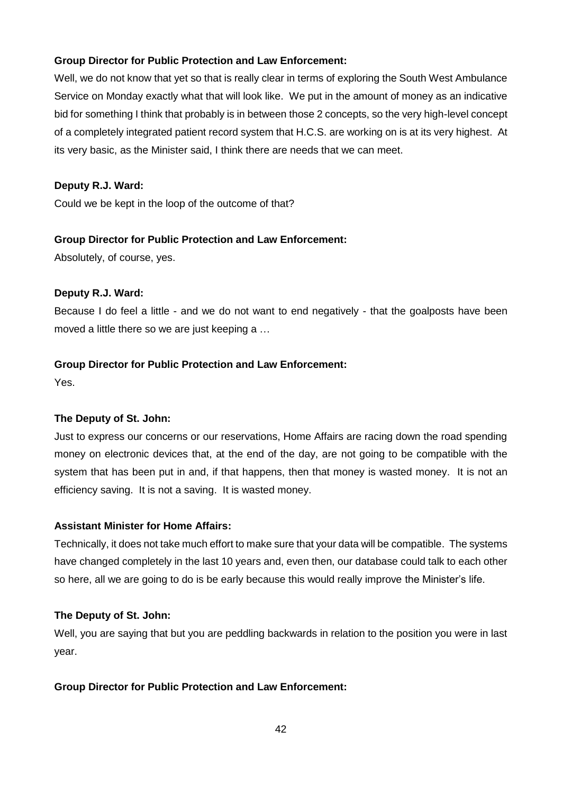## **Group Director for Public Protection and Law Enforcement:**

Well, we do not know that yet so that is really clear in terms of exploring the South West Ambulance Service on Monday exactly what that will look like. We put in the amount of money as an indicative bid for something I think that probably is in between those 2 concepts, so the very high-level concept of a completely integrated patient record system that H.C.S. are working on is at its very highest. At its very basic, as the Minister said, I think there are needs that we can meet.

## **Deputy R.J. Ward:**

Could we be kept in the loop of the outcome of that?

## **Group Director for Public Protection and Law Enforcement:**

Absolutely, of course, yes.

#### **Deputy R.J. Ward:**

Because I do feel a little - and we do not want to end negatively - that the goalposts have been moved a little there so we are just keeping a …

#### **Group Director for Public Protection and Law Enforcement:**

Yes.

#### **The Deputy of St. John:**

Just to express our concerns or our reservations, Home Affairs are racing down the road spending money on electronic devices that, at the end of the day, are not going to be compatible with the system that has been put in and, if that happens, then that money is wasted money. It is not an efficiency saving. It is not a saving. It is wasted money.

#### **Assistant Minister for Home Affairs:**

Technically, it does not take much effort to make sure that your data will be compatible. The systems have changed completely in the last 10 years and, even then, our database could talk to each other so here, all we are going to do is be early because this would really improve the Minister's life.

#### **The Deputy of St. John:**

Well, you are saying that but you are peddling backwards in relation to the position you were in last year.

#### **Group Director for Public Protection and Law Enforcement:**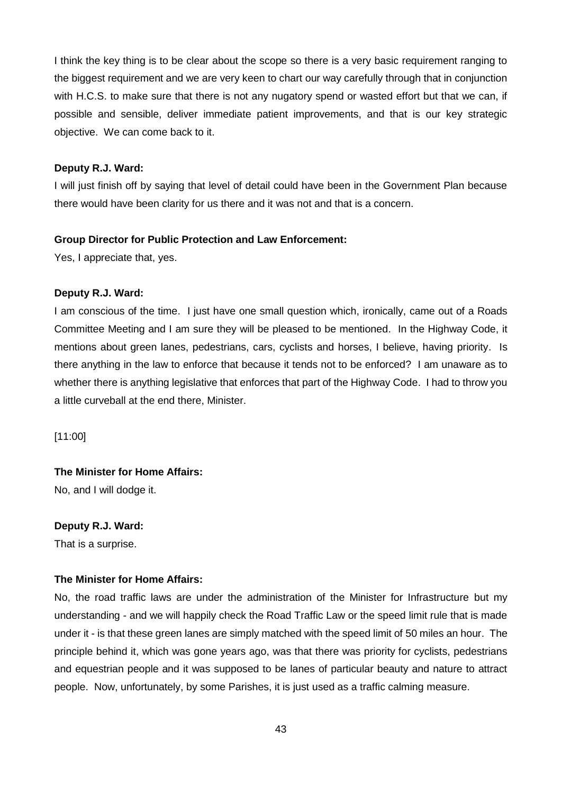I think the key thing is to be clear about the scope so there is a very basic requirement ranging to the biggest requirement and we are very keen to chart our way carefully through that in conjunction with H.C.S. to make sure that there is not any nugatory spend or wasted effort but that we can, if possible and sensible, deliver immediate patient improvements, and that is our key strategic objective. We can come back to it.

#### **Deputy R.J. Ward:**

I will just finish off by saying that level of detail could have been in the Government Plan because there would have been clarity for us there and it was not and that is a concern.

#### **Group Director for Public Protection and Law Enforcement:**

Yes, I appreciate that, yes.

#### **Deputy R.J. Ward:**

I am conscious of the time. I just have one small question which, ironically, came out of a Roads Committee Meeting and I am sure they will be pleased to be mentioned. In the Highway Code, it mentions about green lanes, pedestrians, cars, cyclists and horses, I believe, having priority. Is there anything in the law to enforce that because it tends not to be enforced? I am unaware as to whether there is anything legislative that enforces that part of the Highway Code. I had to throw you a little curveball at the end there, Minister.

[11:00]

## **The Minister for Home Affairs:**

No, and I will dodge it.

**Deputy R.J. Ward:** That is a surprise.

#### **The Minister for Home Affairs:**

No, the road traffic laws are under the administration of the Minister for Infrastructure but my understanding - and we will happily check the Road Traffic Law or the speed limit rule that is made under it - is that these green lanes are simply matched with the speed limit of 50 miles an hour. The principle behind it, which was gone years ago, was that there was priority for cyclists, pedestrians and equestrian people and it was supposed to be lanes of particular beauty and nature to attract people. Now, unfortunately, by some Parishes, it is just used as a traffic calming measure.